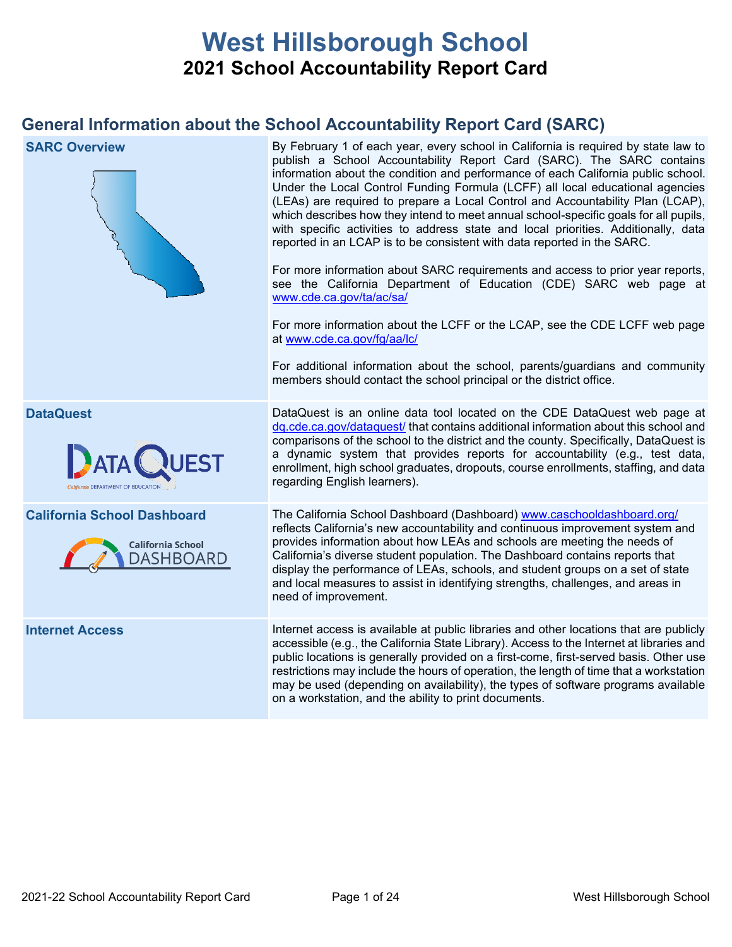# **West Hillsborough School 2021 School Accountability Report Card**

## **General Information about the School Accountability Report Card (SARC)**

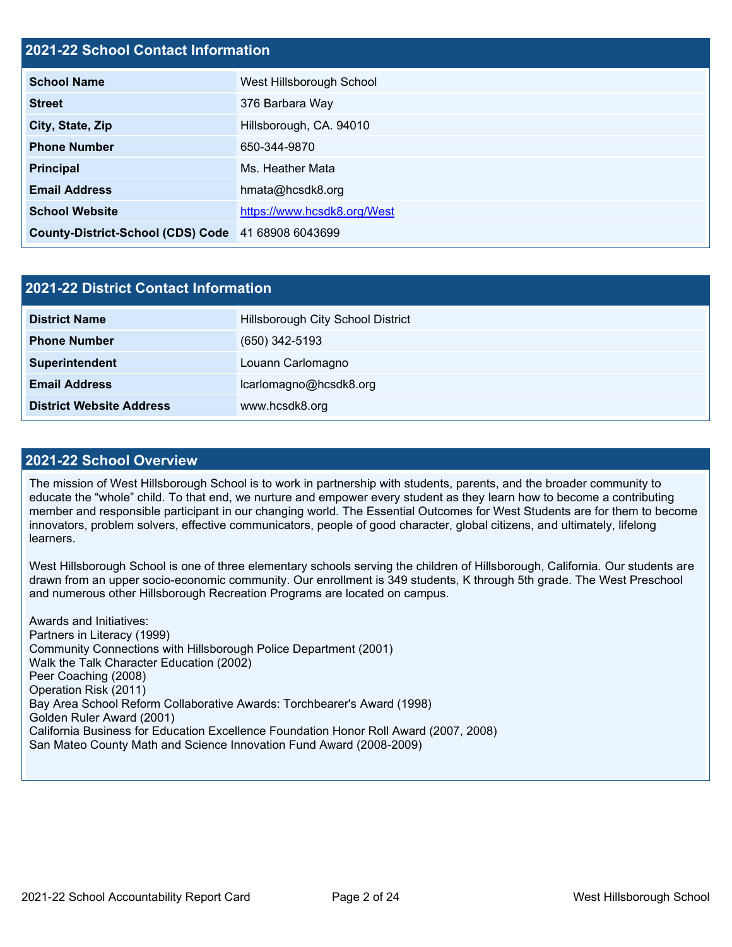#### **2021-22 School Contact Information**

| <b>School Name</b>                                 | West Hillsborough School    |  |  |  |
|----------------------------------------------------|-----------------------------|--|--|--|
| <b>Street</b>                                      | 376 Barbara Way             |  |  |  |
| City, State, Zip                                   | Hillsborough, CA. 94010     |  |  |  |
| <b>Phone Number</b>                                | 650-344-9870                |  |  |  |
| <b>Principal</b>                                   | Ms. Heather Mata            |  |  |  |
| <b>Email Address</b>                               | hmata@hcsdk8.org            |  |  |  |
| <b>School Website</b>                              | https://www.hcsdk8.org/West |  |  |  |
| County-District-School (CDS) Code 41 68908 6043699 |                             |  |  |  |

| 2021-22 District Contact Information |                                   |  |  |  |
|--------------------------------------|-----------------------------------|--|--|--|
| <b>District Name</b>                 | Hillsborough City School District |  |  |  |
| <b>Phone Number</b>                  | $(650)$ 342-5193                  |  |  |  |
| Superintendent                       | Louann Carlomagno                 |  |  |  |
| <b>Email Address</b>                 | lcarlomagno@hcsdk8.org            |  |  |  |
| <b>District Website Address</b>      | www.hcsdk8.org                    |  |  |  |

#### **2021-22 School Overview**

The mission of West Hillsborough School is to work in partnership with students, parents, and the broader community to educate the "whole" child. To that end, we nurture and empower every student as they learn how to become a contributing member and responsible participant in our changing world. The Essential Outcomes for West Students are for them to become innovators, problem solvers, effective communicators, people of good character, global citizens, and ultimately, lifelong learners.

West Hillsborough School is one of three elementary schools serving the children of Hillsborough, California. Our students are drawn from an upper socio-economic community. Our enrollment is 349 students, K through 5th grade. The West Preschool and numerous other Hillsborough Recreation Programs are located on campus.

Awards and Initiatives: Partners in Literacy (1999) Community Connections with Hillsborough Police Department (2001) Walk the Talk Character Education (2002) Peer Coaching (2008) Operation Risk (2011) Bay Area School Reform Collaborative Awards: Torchbearer's Award (1998) Golden Ruler Award (2001) California Business for Education Excellence Foundation Honor Roll Award (2007, 2008) San Mateo County Math and Science Innovation Fund Award (2008-2009)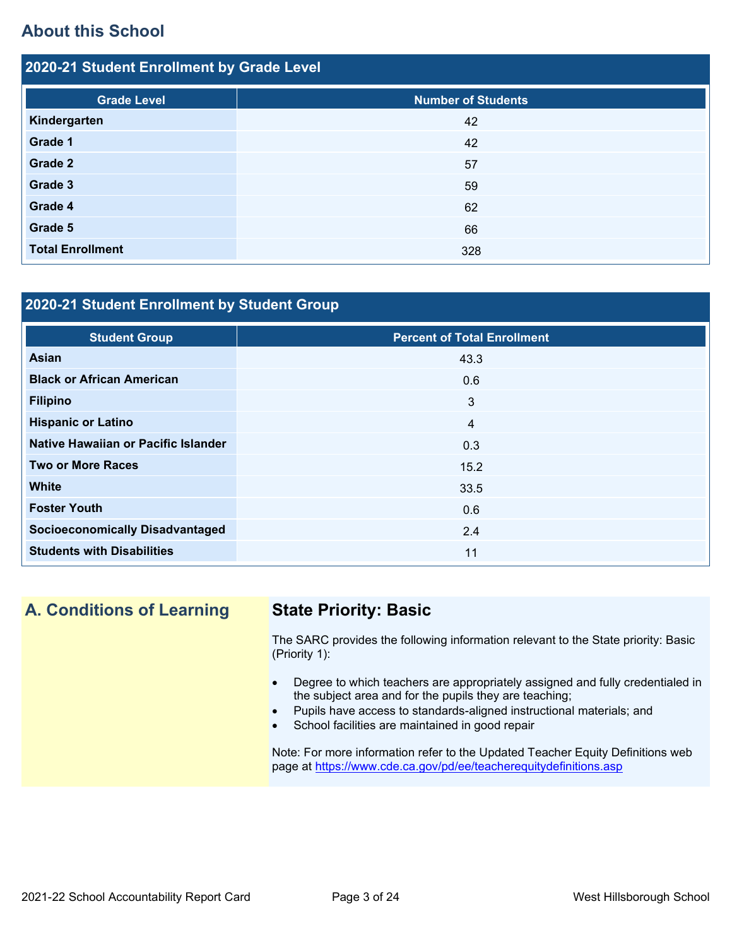## **About this School**

| 2020-21 Student Enrollment by Grade Level |                           |  |  |  |
|-------------------------------------------|---------------------------|--|--|--|
| <b>Grade Level</b>                        | <b>Number of Students</b> |  |  |  |
| Kindergarten                              | 42                        |  |  |  |
| Grade 1                                   | 42                        |  |  |  |
| Grade 2                                   | 57                        |  |  |  |
| Grade 3                                   | 59                        |  |  |  |
| Grade 4                                   | 62                        |  |  |  |
| Grade 5                                   | 66                        |  |  |  |
| <b>Total Enrollment</b>                   | 328                       |  |  |  |

### **2020-21 Student Enrollment by Student Group**

| <b>Student Group</b>                   | <b>Percent of Total Enrollment</b> |
|----------------------------------------|------------------------------------|
| <b>Asian</b>                           | 43.3                               |
| <b>Black or African American</b>       | 0.6                                |
| <b>Filipino</b>                        | 3                                  |
| <b>Hispanic or Latino</b>              | $\overline{4}$                     |
| Native Hawaiian or Pacific Islander    | 0.3                                |
| <b>Two or More Races</b>               | 15.2                               |
| <b>White</b>                           | 33.5                               |
| <b>Foster Youth</b>                    | 0.6                                |
| <b>Socioeconomically Disadvantaged</b> | 2.4                                |
| <b>Students with Disabilities</b>      | 11                                 |

## **A. Conditions of Learning State Priority: Basic**

The SARC provides the following information relevant to the State priority: Basic (Priority 1):

- Degree to which teachers are appropriately assigned and fully credentialed in the subject area and for the pupils they are teaching;
- Pupils have access to standards-aligned instructional materials; and
- School facilities are maintained in good repair

Note: For more information refer to the Updated Teacher Equity Definitions web page at<https://www.cde.ca.gov/pd/ee/teacherequitydefinitions.asp>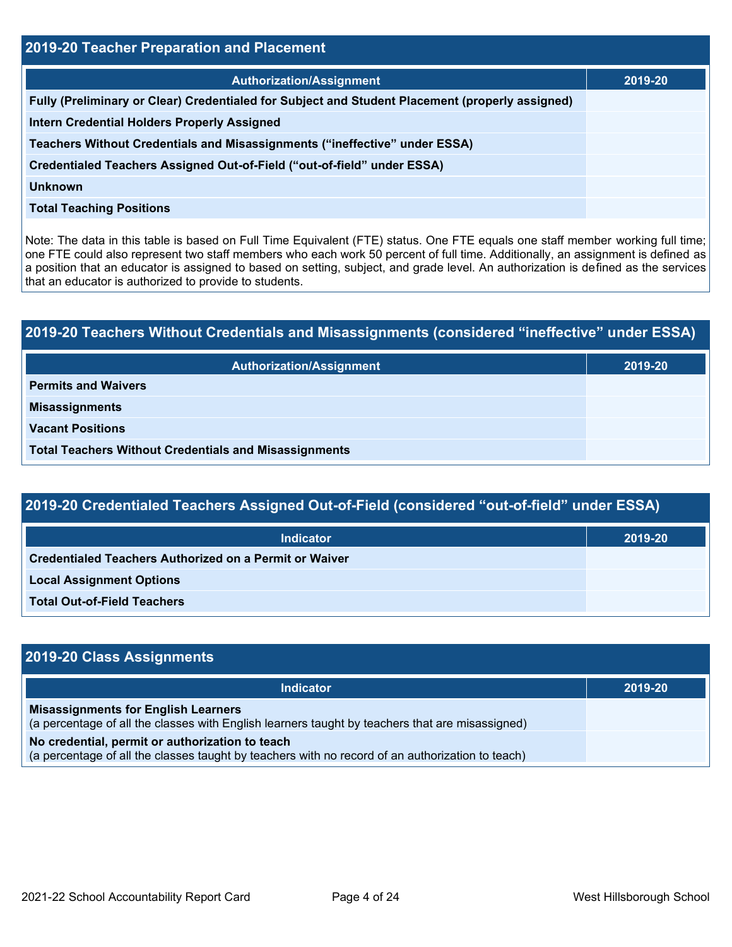| 2019-20 Teacher Preparation and Placement                                                       |         |  |  |
|-------------------------------------------------------------------------------------------------|---------|--|--|
| <b>Authorization/Assignment</b>                                                                 | 2019-20 |  |  |
| Fully (Preliminary or Clear) Credentialed for Subject and Student Placement (properly assigned) |         |  |  |
| <b>Intern Credential Holders Properly Assigned</b>                                              |         |  |  |
| Teachers Without Credentials and Misassignments ("ineffective" under ESSA)                      |         |  |  |
| Credentialed Teachers Assigned Out-of-Field ("out-of-field" under ESSA)                         |         |  |  |
| <b>Unknown</b>                                                                                  |         |  |  |
| <b>Total Teaching Positions</b>                                                                 |         |  |  |

Note: The data in this table is based on Full Time Equivalent (FTE) status. One FTE equals one staff member working full time; one FTE could also represent two staff members who each work 50 percent of full time. Additionally, an assignment is defined as a position that an educator is assigned to based on setting, subject, and grade level. An authorization is defined as the services that an educator is authorized to provide to students.

| 2019-20 Teachers Without Credentials and Misassignments (considered "ineffective" under ESSA) |         |  |  |
|-----------------------------------------------------------------------------------------------|---------|--|--|
| <b>Authorization/Assignment</b>                                                               | 2019-20 |  |  |
| <b>Permits and Waivers</b>                                                                    |         |  |  |
| <b>Misassignments</b>                                                                         |         |  |  |
| <b>Vacant Positions</b>                                                                       |         |  |  |
| <b>Total Teachers Without Credentials and Misassignments</b>                                  |         |  |  |

| <b>Indicator</b>                                              | 2019-20 |
|---------------------------------------------------------------|---------|
| <b>Credentialed Teachers Authorized on a Permit or Waiver</b> |         |
| <b>Local Assignment Options</b>                               |         |
| <b>Total Out-of-Field Teachers</b>                            |         |

| 2019-20 Class Assignments                                                                                                                           |         |  |  |
|-----------------------------------------------------------------------------------------------------------------------------------------------------|---------|--|--|
| <b>Indicator</b>                                                                                                                                    | 2019-20 |  |  |
| <b>Misassignments for English Learners</b><br>(a percentage of all the classes with English learners taught by teachers that are misassigned)       |         |  |  |
| No credential, permit or authorization to teach<br>(a percentage of all the classes taught by teachers with no record of an authorization to teach) |         |  |  |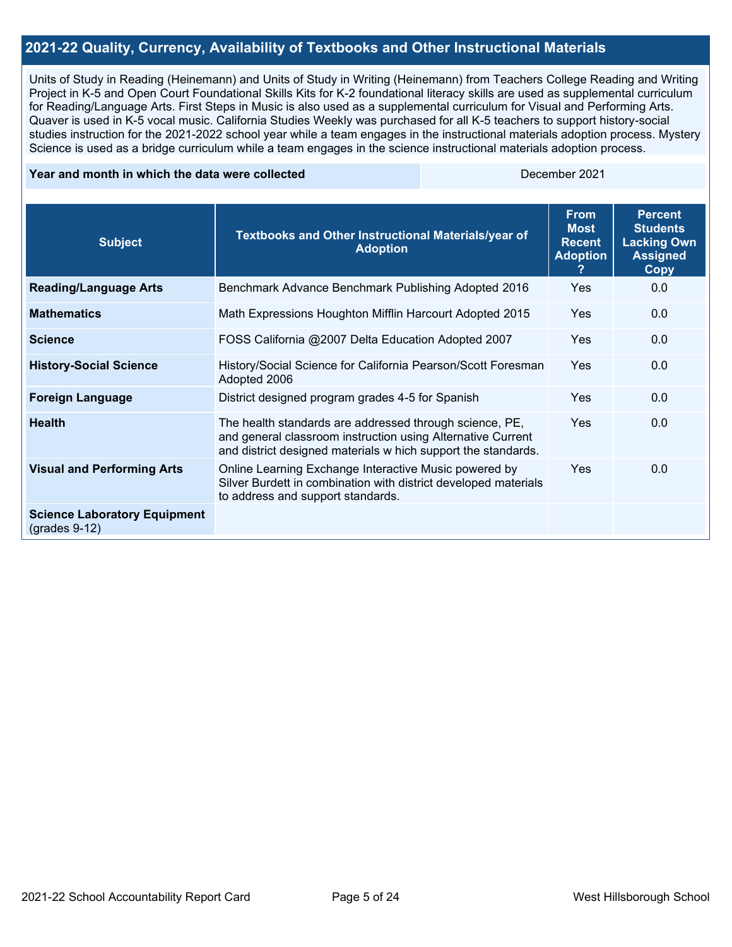#### **2021-22 Quality, Currency, Availability of Textbooks and Other Instructional Materials**

Units of Study in Reading (Heinemann) and Units of Study in Writing (Heinemann) from Teachers College Reading and Writing Project in K-5 and Open Court Foundational Skills Kits for K-2 foundational literacy skills are used as supplemental curriculum for Reading/Language Arts. First Steps in Music is also used as a supplemental curriculum for Visual and Performing Arts. Quaver is used in K-5 vocal music. California Studies Weekly was purchased for all K-5 teachers to support history-social studies instruction for the 2021-2022 school year while a team engages in the instructional materials adoption process. Mystery Science is used as a bridge curriculum while a team engages in the science instructional materials adoption process.

#### **Year and month in which the data were collected** December 2021

| <b>Subject</b>                                         | Textbooks and Other Instructional Materials/year of<br><b>Adoption</b>                                                                                                                  | <b>From</b><br><b>Most</b><br><b>Recent</b><br><b>Adoption</b><br>? | <b>Percent</b><br><b>Students</b><br><b>Lacking Own</b><br><b>Assigned</b><br><b>Copy</b> |
|--------------------------------------------------------|-----------------------------------------------------------------------------------------------------------------------------------------------------------------------------------------|---------------------------------------------------------------------|-------------------------------------------------------------------------------------------|
| <b>Reading/Language Arts</b>                           | Benchmark Advance Benchmark Publishing Adopted 2016                                                                                                                                     | <b>Yes</b>                                                          | 0.0                                                                                       |
| <b>Mathematics</b>                                     | Math Expressions Houghton Mifflin Harcourt Adopted 2015                                                                                                                                 | <b>Yes</b>                                                          | 0.0                                                                                       |
| <b>Science</b>                                         | FOSS California @2007 Delta Education Adopted 2007                                                                                                                                      | <b>Yes</b>                                                          | 0.0                                                                                       |
| <b>History-Social Science</b>                          | History/Social Science for California Pearson/Scott Foresman<br>Adopted 2006                                                                                                            | <b>Yes</b>                                                          | 0.0                                                                                       |
| <b>Foreign Language</b>                                | District designed program grades 4-5 for Spanish                                                                                                                                        | <b>Yes</b>                                                          | 0.0                                                                                       |
| <b>Health</b>                                          | The health standards are addressed through science, PE,<br>and general classroom instruction using Alternative Current<br>and district designed materials w hich support the standards. | Yes                                                                 | 0.0                                                                                       |
| <b>Visual and Performing Arts</b>                      | Online Learning Exchange Interactive Music powered by<br>Silver Burdett in combination with district developed materials<br>to address and support standards.                           | <b>Yes</b>                                                          | 0.0                                                                                       |
| <b>Science Laboratory Equipment</b><br>$(grades 9-12)$ |                                                                                                                                                                                         |                                                                     |                                                                                           |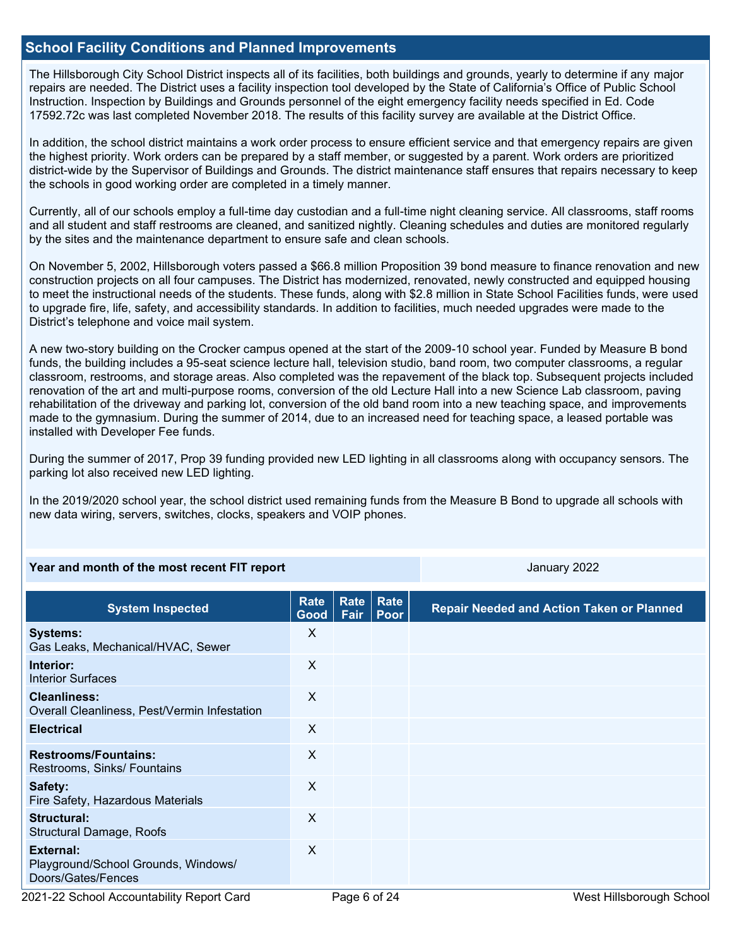#### **School Facility Conditions and Planned Improvements**

The Hillsborough City School District inspects all of its facilities, both buildings and grounds, yearly to determine if any major repairs are needed. The District uses a facility inspection tool developed by the State of California's Office of Public School Instruction. Inspection by Buildings and Grounds personnel of the eight emergency facility needs specified in Ed. Code 17592.72c was last completed November 2018. The results of this facility survey are available at the District Office.

In addition, the school district maintains a work order process to ensure efficient service and that emergency repairs are given the highest priority. Work orders can be prepared by a staff member, or suggested by a parent. Work orders are prioritized district-wide by the Supervisor of Buildings and Grounds. The district maintenance staff ensures that repairs necessary to keep the schools in good working order are completed in a timely manner.

Currently, all of our schools employ a full-time day custodian and a full-time night cleaning service. All classrooms, staff rooms and all student and staff restrooms are cleaned, and sanitized nightly. Cleaning schedules and duties are monitored regularly by the sites and the maintenance department to ensure safe and clean schools.

On November 5, 2002, Hillsborough voters passed a \$66.8 million Proposition 39 bond measure to finance renovation and new construction projects on all four campuses. The District has modernized, renovated, newly constructed and equipped housing to meet the instructional needs of the students. These funds, along with \$2.8 million in State School Facilities funds, were used to upgrade fire, life, safety, and accessibility standards. In addition to facilities, much needed upgrades were made to the District's telephone and voice mail system.

A new two-story building on the Crocker campus opened at the start of the 2009-10 school year. Funded by Measure B bond funds, the building includes a 95-seat science lecture hall, television studio, band room, two computer classrooms, a regular classroom, restrooms, and storage areas. Also completed was the repavement of the black top. Subsequent projects included renovation of the art and multi-purpose rooms, conversion of the old Lecture Hall into a new Science Lab classroom, paving rehabilitation of the driveway and parking lot, conversion of the old band room into a new teaching space, and improvements made to the gymnasium. During the summer of 2014, due to an increased need for teaching space, a leased portable was installed with Developer Fee funds.

During the summer of 2017, Prop 39 funding provided new LED lighting in all classrooms along with occupancy sensors. The parking lot also received new LED lighting.

In the 2019/2020 school year, the school district used remaining funds from the Measure B Bond to upgrade all schools with new data wiring, servers, switches, clocks, speakers and VOIP phones.

#### **Year and month of the most recent FIT report** And Allen January 2022 **January 2022**

| <b>System Inspected</b>                                                | Rate<br>Good | <b>Rate</b><br>Fair | Rate<br>Poor | <b>Repair Needed and Action Taken or Planned</b> |
|------------------------------------------------------------------------|--------------|---------------------|--------------|--------------------------------------------------|
| <b>Systems:</b><br>Gas Leaks, Mechanical/HVAC, Sewer                   | X            |                     |              |                                                  |
| Interior:<br><b>Interior Surfaces</b>                                  | X            |                     |              |                                                  |
| <b>Cleanliness:</b><br>Overall Cleanliness, Pest/Vermin Infestation    | X            |                     |              |                                                  |
| <b>Electrical</b>                                                      | X            |                     |              |                                                  |
| <b>Restrooms/Fountains:</b><br>Restrooms, Sinks/ Fountains             | X            |                     |              |                                                  |
| Safety:<br>Fire Safety, Hazardous Materials                            | X            |                     |              |                                                  |
| Structural:<br>Structural Damage, Roofs                                | X            |                     |              |                                                  |
| External:<br>Playground/School Grounds, Windows/<br>Doors/Gates/Fences | $\mathsf{X}$ |                     |              |                                                  |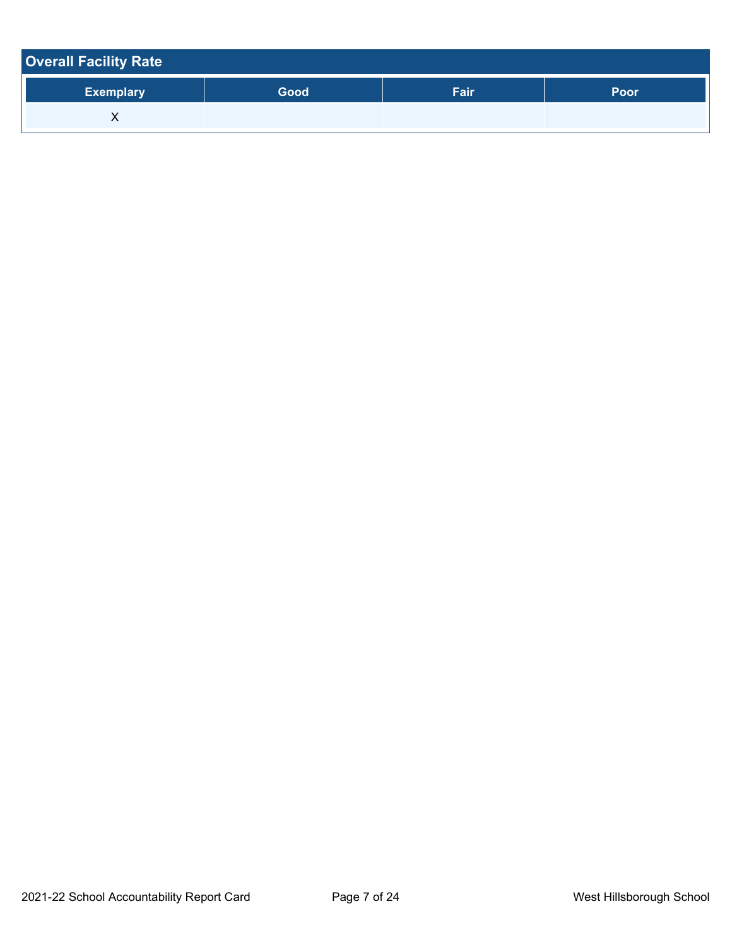| <b>Overall Facility Rate</b> |      |      |      |
|------------------------------|------|------|------|
| <b>Exemplary</b>             | Good | Fair | Poor |
| ⋏                            |      |      |      |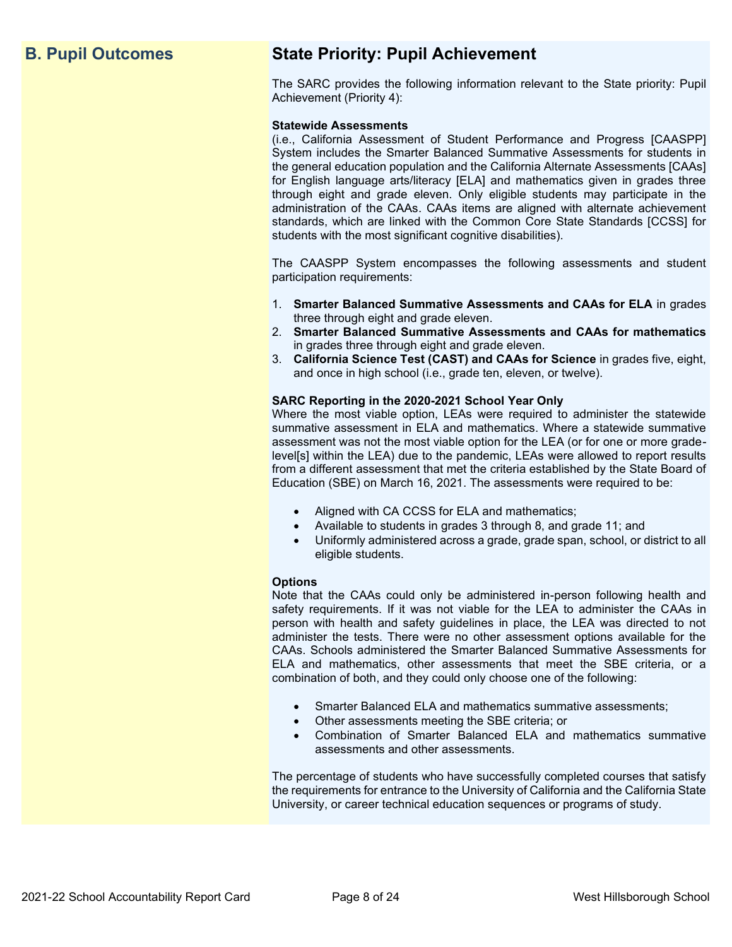## **B. Pupil Outcomes State Priority: Pupil Achievement**

The SARC provides the following information relevant to the State priority: Pupil Achievement (Priority 4):

#### **Statewide Assessments**

(i.e., California Assessment of Student Performance and Progress [CAASPP] System includes the Smarter Balanced Summative Assessments for students in the general education population and the California Alternate Assessments [CAAs] for English language arts/literacy [ELA] and mathematics given in grades three through eight and grade eleven. Only eligible students may participate in the administration of the CAAs. CAAs items are aligned with alternate achievement standards, which are linked with the Common Core State Standards [CCSS] for students with the most significant cognitive disabilities).

The CAASPP System encompasses the following assessments and student participation requirements:

- 1. **Smarter Balanced Summative Assessments and CAAs for ELA** in grades three through eight and grade eleven.
- 2. **Smarter Balanced Summative Assessments and CAAs for mathematics** in grades three through eight and grade eleven.
- 3. **California Science Test (CAST) and CAAs for Science** in grades five, eight, and once in high school (i.e., grade ten, eleven, or twelve).

#### **SARC Reporting in the 2020-2021 School Year Only**

Where the most viable option, LEAs were required to administer the statewide summative assessment in ELA and mathematics. Where a statewide summative assessment was not the most viable option for the LEA (or for one or more gradelevel[s] within the LEA) due to the pandemic, LEAs were allowed to report results from a different assessment that met the criteria established by the State Board of Education (SBE) on March 16, 2021. The assessments were required to be:

- Aligned with CA CCSS for ELA and mathematics;
- Available to students in grades 3 through 8, and grade 11; and
- Uniformly administered across a grade, grade span, school, or district to all eligible students.

#### **Options**

Note that the CAAs could only be administered in-person following health and safety requirements. If it was not viable for the LEA to administer the CAAs in person with health and safety guidelines in place, the LEA was directed to not administer the tests. There were no other assessment options available for the CAAs. Schools administered the Smarter Balanced Summative Assessments for ELA and mathematics, other assessments that meet the SBE criteria, or a combination of both, and they could only choose one of the following:

- Smarter Balanced ELA and mathematics summative assessments;
- Other assessments meeting the SBE criteria; or
- Combination of Smarter Balanced ELA and mathematics summative assessments and other assessments.

The percentage of students who have successfully completed courses that satisfy the requirements for entrance to the University of California and the California State University, or career technical education sequences or programs of study.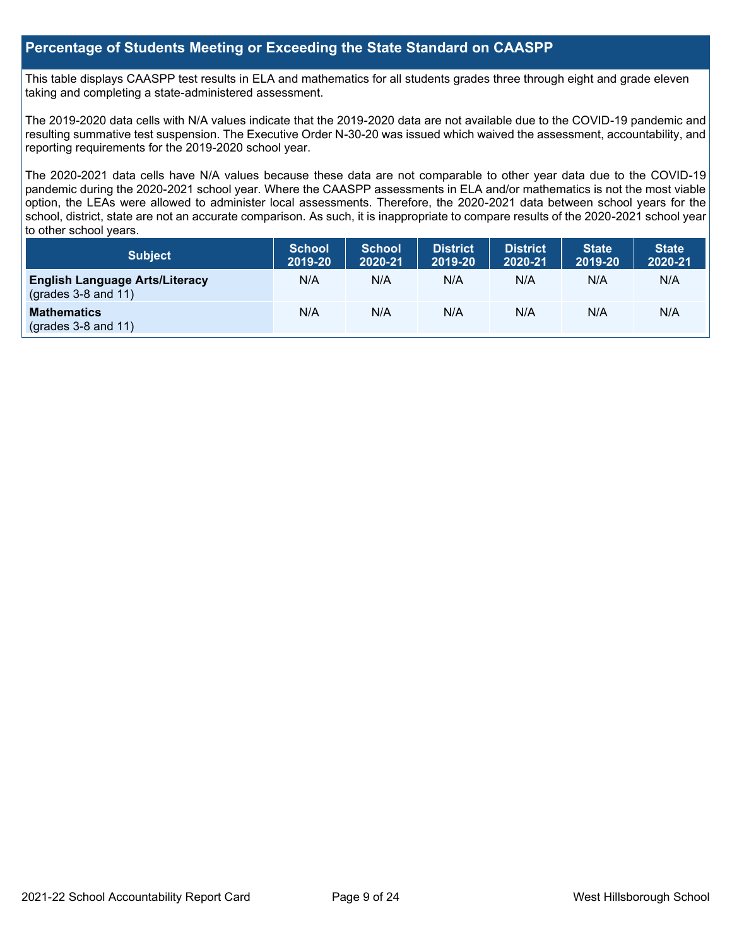#### **Percentage of Students Meeting or Exceeding the State Standard on CAASPP**

This table displays CAASPP test results in ELA and mathematics for all students grades three through eight and grade eleven taking and completing a state-administered assessment.

The 2019-2020 data cells with N/A values indicate that the 2019-2020 data are not available due to the COVID-19 pandemic and resulting summative test suspension. The Executive Order N-30-20 was issued which waived the assessment, accountability, and reporting requirements for the 2019-2020 school year.

The 2020-2021 data cells have N/A values because these data are not comparable to other year data due to the COVID-19 pandemic during the 2020-2021 school year. Where the CAASPP assessments in ELA and/or mathematics is not the most viable option, the LEAs were allowed to administer local assessments. Therefore, the 2020-2021 data between school years for the school, district, state are not an accurate comparison. As such, it is inappropriate to compare results of the 2020-2021 school year to other school years.

| Subject                                                              | <b>School</b><br>2019-20 | <b>School</b><br>2020-21 | <b>District</b><br>2019-20 | <b>District</b><br>2020-21 | <b>State</b><br>2019-20 | <b>State</b><br>2020-21 |
|----------------------------------------------------------------------|--------------------------|--------------------------|----------------------------|----------------------------|-------------------------|-------------------------|
| <b>English Language Arts/Literacy</b><br>$\left($ grades 3-8 and 11) | N/A                      | N/A                      | N/A                        | N/A                        | N/A                     | N/A                     |
| <b>Mathematics</b><br>$(grades 3-8 and 11)$                          | N/A                      | N/A                      | N/A                        | N/A                        | N/A                     | N/A                     |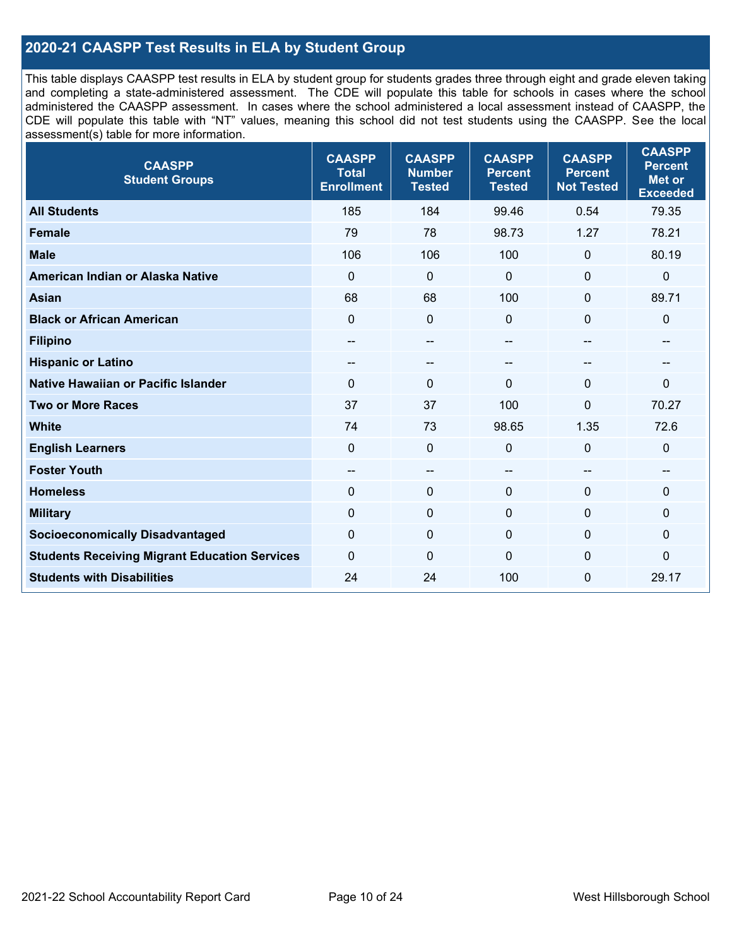### **2020-21 CAASPP Test Results in ELA by Student Group**

This table displays CAASPP test results in ELA by student group for students grades three through eight and grade eleven taking and completing a state-administered assessment. The CDE will populate this table for schools in cases where the school administered the CAASPP assessment. In cases where the school administered a local assessment instead of CAASPP, the CDE will populate this table with "NT" values, meaning this school did not test students using the CAASPP. See the local assessment(s) table for more information.

| <b>CAASPP</b><br><b>Student Groups</b>               | <b>CAASPP</b><br><b>Total</b><br><b>Enrollment</b> | <b>CAASPP</b><br><b>Number</b><br><b>Tested</b> | <b>CAASPP</b><br><b>Percent</b><br><b>Tested</b> | <b>CAASPP</b><br><b>Percent</b><br><b>Not Tested</b> | <b>CAASPP</b><br><b>Percent</b><br><b>Met or</b><br><b>Exceeded</b> |
|------------------------------------------------------|----------------------------------------------------|-------------------------------------------------|--------------------------------------------------|------------------------------------------------------|---------------------------------------------------------------------|
| <b>All Students</b>                                  | 185                                                | 184                                             | 99.46                                            | 0.54                                                 | 79.35                                                               |
| <b>Female</b>                                        | 79                                                 | 78                                              | 98.73                                            | 1.27                                                 | 78.21                                                               |
| <b>Male</b>                                          | 106                                                | 106                                             | 100                                              | $\mathbf 0$                                          | 80.19                                                               |
| American Indian or Alaska Native                     | $\mathbf 0$                                        | $\pmb{0}$                                       | $\mathbf 0$                                      | $\mathbf 0$                                          | $\pmb{0}$                                                           |
| <b>Asian</b>                                         | 68                                                 | 68                                              | 100                                              | $\mathbf{0}$                                         | 89.71                                                               |
| <b>Black or African American</b>                     | $\mathbf 0$                                        | $\mathbf 0$                                     | $\mathbf{0}$                                     | 0                                                    | $\mathbf 0$                                                         |
| <b>Filipino</b>                                      | $- -$                                              | $\sim$ $\sim$                                   | --                                               | $-$                                                  | --                                                                  |
| <b>Hispanic or Latino</b>                            | --                                                 | $\overline{\phantom{m}}$                        | --                                               | --                                                   | --                                                                  |
| Native Hawaiian or Pacific Islander                  | $\mathbf 0$                                        | $\mathbf 0$                                     | $\mathbf{0}$                                     | $\mathbf 0$                                          | $\mathbf{0}$                                                        |
| <b>Two or More Races</b>                             | 37                                                 | 37                                              | 100                                              | 0                                                    | 70.27                                                               |
| <b>White</b>                                         | 74                                                 | 73                                              | 98.65                                            | 1.35                                                 | 72.6                                                                |
| <b>English Learners</b>                              | $\mathbf 0$                                        | $\mathbf 0$                                     | $\mathbf{0}$                                     | $\mathbf 0$                                          | $\mathbf 0$                                                         |
| <b>Foster Youth</b>                                  | --                                                 | $\overline{\phantom{a}}$                        | --                                               | $-$                                                  | --                                                                  |
| <b>Homeless</b>                                      | $\Omega$                                           | $\mathbf 0$                                     | $\mathbf 0$                                      | $\mathbf{0}$                                         | 0                                                                   |
| <b>Military</b>                                      | $\mathbf 0$                                        | $\pmb{0}$                                       | $\mathbf 0$                                      | 0                                                    | 0                                                                   |
| <b>Socioeconomically Disadvantaged</b>               | $\mathbf 0$                                        | $\mathbf 0$                                     | $\mathbf{0}$                                     | $\Omega$                                             | 0                                                                   |
| <b>Students Receiving Migrant Education Services</b> | $\mathbf 0$                                        | $\mathbf 0$                                     | $\Omega$                                         | 0                                                    | 0                                                                   |
| <b>Students with Disabilities</b>                    | 24                                                 | 24                                              | 100                                              | 0                                                    | 29.17                                                               |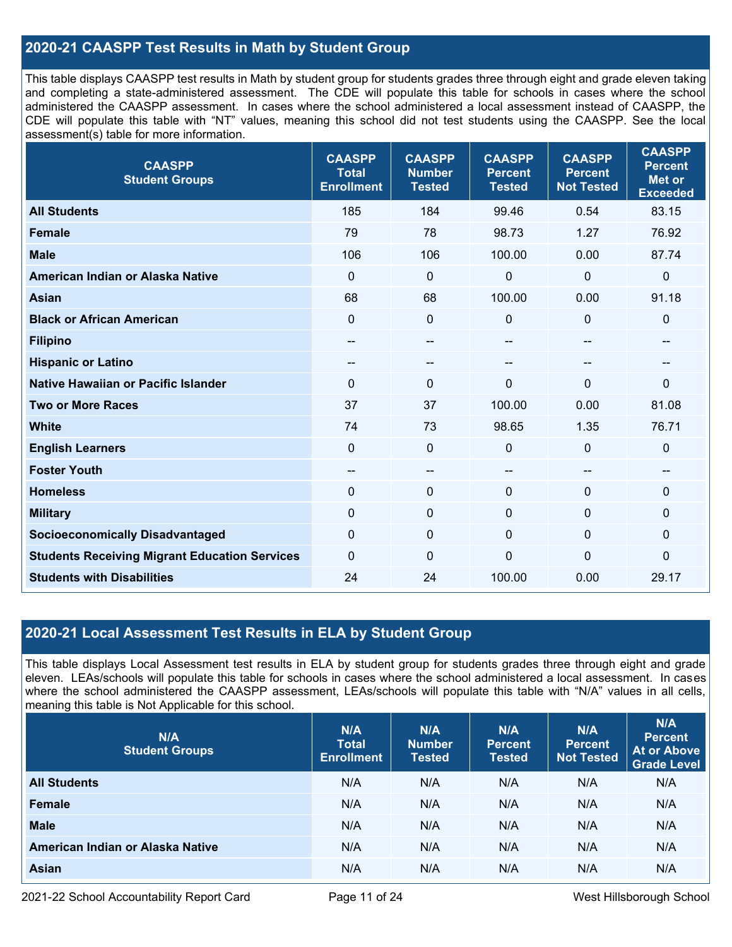### **2020-21 CAASPP Test Results in Math by Student Group**

This table displays CAASPP test results in Math by student group for students grades three through eight and grade eleven taking and completing a state-administered assessment. The CDE will populate this table for schools in cases where the school administered the CAASPP assessment. In cases where the school administered a local assessment instead of CAASPP, the CDE will populate this table with "NT" values, meaning this school did not test students using the CAASPP. See the local assessment(s) table for more information.

| <b>CAASPP</b><br><b>Student Groups</b>               | <b>CAASPP</b><br><b>Total</b><br><b>Enrollment</b> | <b>CAASPP</b><br><b>Number</b><br><b>Tested</b> | <b>CAASPP</b><br><b>Percent</b><br><b>Tested</b> | <b>CAASPP</b><br><b>Percent</b><br><b>Not Tested</b> | <b>CAASPP</b><br><b>Percent</b><br><b>Met or</b><br><b>Exceeded</b> |
|------------------------------------------------------|----------------------------------------------------|-------------------------------------------------|--------------------------------------------------|------------------------------------------------------|---------------------------------------------------------------------|
| <b>All Students</b>                                  | 185                                                | 184                                             | 99.46                                            | 0.54                                                 | 83.15                                                               |
| <b>Female</b>                                        | 79                                                 | 78                                              | 98.73                                            | 1.27                                                 | 76.92                                                               |
| <b>Male</b>                                          | 106                                                | 106                                             | 100.00                                           | 0.00                                                 | 87.74                                                               |
| American Indian or Alaska Native                     | 0                                                  | 0                                               | $\mathbf 0$                                      | 0                                                    | $\mathbf 0$                                                         |
| <b>Asian</b>                                         | 68                                                 | 68                                              | 100.00                                           | 0.00                                                 | 91.18                                                               |
| <b>Black or African American</b>                     | $\mathbf 0$                                        | 0                                               | $\mathbf 0$                                      | $\Omega$                                             | $\mathbf 0$                                                         |
| <b>Filipino</b>                                      | $- -$                                              | --                                              | --                                               | --                                                   | --                                                                  |
| <b>Hispanic or Latino</b>                            | --                                                 | --                                              | --                                               | --                                                   | --                                                                  |
| <b>Native Hawaiian or Pacific Islander</b>           | $\Omega$                                           | 0                                               | $\mathbf 0$                                      | $\Omega$                                             | $\mathbf 0$                                                         |
| <b>Two or More Races</b>                             | 37                                                 | 37                                              | 100.00                                           | 0.00                                                 | 81.08                                                               |
| <b>White</b>                                         | 74                                                 | 73                                              | 98.65                                            | 1.35                                                 | 76.71                                                               |
| <b>English Learners</b>                              | $\mathbf 0$                                        | $\mathbf 0$                                     | $\mathbf 0$                                      | 0                                                    | $\mathbf 0$                                                         |
| <b>Foster Youth</b>                                  | $-$                                                | $-$                                             | --                                               | --                                                   | $\sim$                                                              |
| <b>Homeless</b>                                      | $\Omega$                                           | $\mathbf 0$                                     | $\mathbf 0$                                      | $\Omega$                                             | $\mathbf 0$                                                         |
| <b>Military</b>                                      | $\mathbf 0$                                        | $\pmb{0}$                                       | $\mathbf 0$                                      | 0                                                    | $\pmb{0}$                                                           |
| <b>Socioeconomically Disadvantaged</b>               | $\mathbf 0$                                        | 0                                               | $\mathbf 0$                                      | $\Omega$                                             | 0                                                                   |
| <b>Students Receiving Migrant Education Services</b> | $\Omega$                                           | 0                                               | 0                                                | $\mathbf{0}$                                         | $\mathbf 0$                                                         |
| <b>Students with Disabilities</b>                    | 24                                                 | 24                                              | 100.00                                           | 0.00                                                 | 29.17                                                               |

#### **2020-21 Local Assessment Test Results in ELA by Student Group**

This table displays Local Assessment test results in ELA by student group for students grades three through eight and grade eleven. LEAs/schools will populate this table for schools in cases where the school administered a local assessment. In cases where the school administered the CAASPP assessment, LEAs/schools will populate this table with "N/A" values in all cells, meaning this table is Not Applicable for this school.

| N/A<br><b>Student Groups</b>     | N/A<br><b>Total</b><br><b>Enrollment</b> | N/A<br><b>Number</b><br><b>Tested</b> | N/A<br><b>Percent</b><br><b>Tested</b> | N/A<br>Percent<br><b>Not Tested</b> | N/A<br><b>Percent</b><br><b>At or Above</b><br><b>Grade Level</b> |
|----------------------------------|------------------------------------------|---------------------------------------|----------------------------------------|-------------------------------------|-------------------------------------------------------------------|
| <b>All Students</b>              | N/A                                      | N/A                                   | N/A                                    | N/A                                 | N/A                                                               |
| Female                           | N/A                                      | N/A                                   | N/A                                    | N/A                                 | N/A                                                               |
| <b>Male</b>                      | N/A                                      | N/A                                   | N/A                                    | N/A                                 | N/A                                                               |
| American Indian or Alaska Native | N/A                                      | N/A                                   | N/A                                    | N/A                                 | N/A                                                               |
| <b>Asian</b>                     | N/A                                      | N/A                                   | N/A                                    | N/A                                 | N/A                                                               |

2021-22 School Accountability Report Card **Page 11 of 24** West Hillsborough School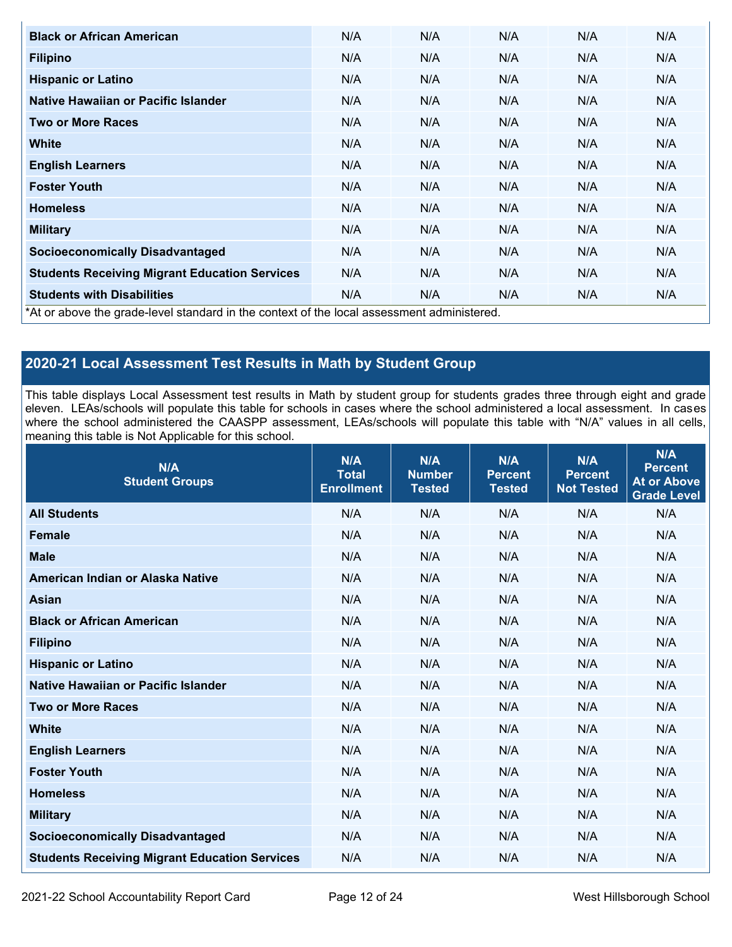| <b>Black or African American</b>                                                          | N/A | N/A | N/A | N/A | N/A |
|-------------------------------------------------------------------------------------------|-----|-----|-----|-----|-----|
| <b>Filipino</b>                                                                           | N/A | N/A | N/A | N/A | N/A |
| <b>Hispanic or Latino</b>                                                                 | N/A | N/A | N/A | N/A | N/A |
| Native Hawaiian or Pacific Islander                                                       | N/A | N/A | N/A | N/A | N/A |
| <b>Two or More Races</b>                                                                  | N/A | N/A | N/A | N/A | N/A |
| White                                                                                     | N/A | N/A | N/A | N/A | N/A |
| <b>English Learners</b>                                                                   | N/A | N/A | N/A | N/A | N/A |
| <b>Foster Youth</b>                                                                       | N/A | N/A | N/A | N/A | N/A |
| <b>Homeless</b>                                                                           | N/A | N/A | N/A | N/A | N/A |
| <b>Military</b>                                                                           | N/A | N/A | N/A | N/A | N/A |
| <b>Socioeconomically Disadvantaged</b>                                                    | N/A | N/A | N/A | N/A | N/A |
| <b>Students Receiving Migrant Education Services</b>                                      | N/A | N/A | N/A | N/A | N/A |
| <b>Students with Disabilities</b>                                                         | N/A | N/A | N/A | N/A | N/A |
| *At or above the grade-level standard in the context of the local assessment administered |     |     |     |     |     |

\*At or above the grade-level standard in the context of the local assessment administered.

## **2020-21 Local Assessment Test Results in Math by Student Group**

This table displays Local Assessment test results in Math by student group for students grades three through eight and grade eleven. LEAs/schools will populate this table for schools in cases where the school administered a local assessment. In cases where the school administered the CAASPP assessment, LEAs/schools will populate this table with "N/A" values in all cells, meaning this table is Not Applicable for this school.

| N/A<br><b>Student Groups</b>                         | N/A<br><b>Total</b><br><b>Enrollment</b> | N/A<br><b>Number</b><br><b>Tested</b> | N/A<br><b>Percent</b><br><b>Tested</b> | N/A<br><b>Percent</b><br><b>Not Tested</b> | N/A<br><b>Percent</b><br><b>At or Above</b><br><b>Grade Level</b> |
|------------------------------------------------------|------------------------------------------|---------------------------------------|----------------------------------------|--------------------------------------------|-------------------------------------------------------------------|
| <b>All Students</b>                                  | N/A                                      | N/A                                   | N/A                                    | N/A                                        | N/A                                                               |
| <b>Female</b>                                        | N/A                                      | N/A                                   | N/A                                    | N/A                                        | N/A                                                               |
| <b>Male</b>                                          | N/A                                      | N/A                                   | N/A                                    | N/A                                        | N/A                                                               |
| American Indian or Alaska Native                     | N/A                                      | N/A                                   | N/A                                    | N/A                                        | N/A                                                               |
| <b>Asian</b>                                         | N/A                                      | N/A                                   | N/A                                    | N/A                                        | N/A                                                               |
| <b>Black or African American</b>                     | N/A                                      | N/A                                   | N/A                                    | N/A                                        | N/A                                                               |
| <b>Filipino</b>                                      | N/A                                      | N/A                                   | N/A                                    | N/A                                        | N/A                                                               |
| <b>Hispanic or Latino</b>                            | N/A                                      | N/A                                   | N/A                                    | N/A                                        | N/A                                                               |
| Native Hawaiian or Pacific Islander                  | N/A                                      | N/A                                   | N/A                                    | N/A                                        | N/A                                                               |
| <b>Two or More Races</b>                             | N/A                                      | N/A                                   | N/A                                    | N/A                                        | N/A                                                               |
| <b>White</b>                                         | N/A                                      | N/A                                   | N/A                                    | N/A                                        | N/A                                                               |
| <b>English Learners</b>                              | N/A                                      | N/A                                   | N/A                                    | N/A                                        | N/A                                                               |
| <b>Foster Youth</b>                                  | N/A                                      | N/A                                   | N/A                                    | N/A                                        | N/A                                                               |
| <b>Homeless</b>                                      | N/A                                      | N/A                                   | N/A                                    | N/A                                        | N/A                                                               |
| <b>Military</b>                                      | N/A                                      | N/A                                   | N/A                                    | N/A                                        | N/A                                                               |
| <b>Socioeconomically Disadvantaged</b>               | N/A                                      | N/A                                   | N/A                                    | N/A                                        | N/A                                                               |
| <b>Students Receiving Migrant Education Services</b> | N/A                                      | N/A                                   | N/A                                    | N/A                                        | N/A                                                               |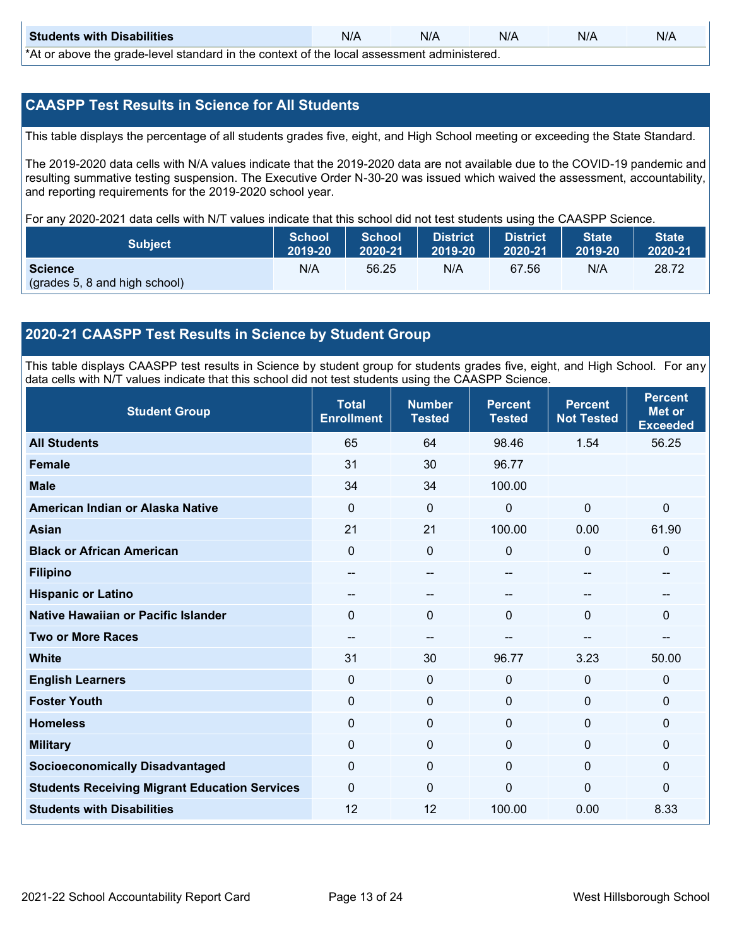| <b>Students with Disabilities</b>                                                           | N/A | N/A | N/A | N/A | N/A |  |  |  |  |
|---------------------------------------------------------------------------------------------|-----|-----|-----|-----|-----|--|--|--|--|
| *At as above the escale level standard in the context of the local accordinate admissioned. |     |     |     |     |     |  |  |  |  |

\*At or above the grade-level standard in the context of the local assessment administered.

#### **CAASPP Test Results in Science for All Students**

This table displays the percentage of all students grades five, eight, and High School meeting or exceeding the State Standard.

The 2019-2020 data cells with N/A values indicate that the 2019-2020 data are not available due to the COVID-19 pandemic and resulting summative testing suspension. The Executive Order N-30-20 was issued which waived the assessment, accountability, and reporting requirements for the 2019-2020 school year.

For any 2020-2021 data cells with N/T values indicate that this school did not test students using the CAASPP Science.

| <b>Subject</b>                | <b>School</b><br>2019-20 | <b>School</b><br>2020-21 | <b>District</b><br>2019-20 | <b>District</b><br>2020-21 | State <sup>1</sup><br>2019-20 | <b>State</b><br>2020-21 |
|-------------------------------|--------------------------|--------------------------|----------------------------|----------------------------|-------------------------------|-------------------------|
| <b>Science</b>                | N/A                      | 56.25                    | N/A                        | 67.56                      | N/A                           | 28.72                   |
| (grades 5, 8 and high school) |                          |                          |                            |                            |                               |                         |

#### **2020-21 CAASPP Test Results in Science by Student Group**

This table displays CAASPP test results in Science by student group for students grades five, eight, and High School. For any data cells with N/T values indicate that this school did not test students using the CAASPP Science.

| <b>Student Group</b>                                 | <b>Total</b><br><b>Enrollment</b> | <b>Number</b><br><b>Tested</b> | <b>Percent</b><br><b>Tested</b> | <b>Percent</b><br><b>Not Tested</b> | <b>Percent</b><br><b>Met or</b><br><b>Exceeded</b> |
|------------------------------------------------------|-----------------------------------|--------------------------------|---------------------------------|-------------------------------------|----------------------------------------------------|
| <b>All Students</b>                                  | 65                                | 64                             | 98.46                           | 1.54                                | 56.25                                              |
| <b>Female</b>                                        | 31                                | 30                             | 96.77                           |                                     |                                                    |
| <b>Male</b>                                          | 34                                | 34                             | 100.00                          |                                     |                                                    |
| American Indian or Alaska Native                     | $\Omega$                          | 0                              | $\mathbf 0$                     | $\mathbf 0$                         | $\mathbf 0$                                        |
| <b>Asian</b>                                         | 21                                | 21                             | 100.00                          | 0.00                                | 61.90                                              |
| <b>Black or African American</b>                     | 0                                 | $\mathbf 0$                    | $\mathbf 0$                     | 0                                   | $\mathbf 0$                                        |
| <b>Filipino</b>                                      | --                                | --                             | $\sim$                          | --                                  | --                                                 |
| <b>Hispanic or Latino</b>                            | --                                | --                             |                                 | --                                  |                                                    |
| Native Hawaiian or Pacific Islander                  | 0                                 | $\mathbf 0$                    | $\Omega$                        | $\overline{0}$                      | $\mathbf 0$                                        |
| <b>Two or More Races</b>                             | --                                | --                             | --                              | --                                  | --                                                 |
| <b>White</b>                                         | 31                                | 30                             | 96.77                           | 3.23                                | 50.00                                              |
| <b>English Learners</b>                              | 0                                 | $\mathbf 0$                    | $\mathbf 0$                     | $\mathbf 0$                         | $\mathbf 0$                                        |
| <b>Foster Youth</b>                                  | 0                                 | $\mathbf 0$                    | $\mathbf 0$                     | $\mathbf 0$                         | $\mathbf 0$                                        |
| <b>Homeless</b>                                      | 0                                 | $\mathbf 0$                    | $\mathbf 0$                     | $\Omega$                            | $\mathbf 0$                                        |
| <b>Military</b>                                      | $\Omega$                          | $\mathbf 0$                    | $\mathbf{0}$                    | $\Omega$                            | $\mathbf 0$                                        |
| <b>Socioeconomically Disadvantaged</b>               | $\Omega$                          | $\mathbf 0$                    | $\Omega$                        | $\Omega$                            | $\mathbf 0$                                        |
| <b>Students Receiving Migrant Education Services</b> | 0                                 | $\mathbf 0$                    | $\Omega$                        | $\overline{0}$                      | $\mathbf 0$                                        |
| <b>Students with Disabilities</b>                    | 12                                | 12                             | 100.00                          | 0.00                                | 8.33                                               |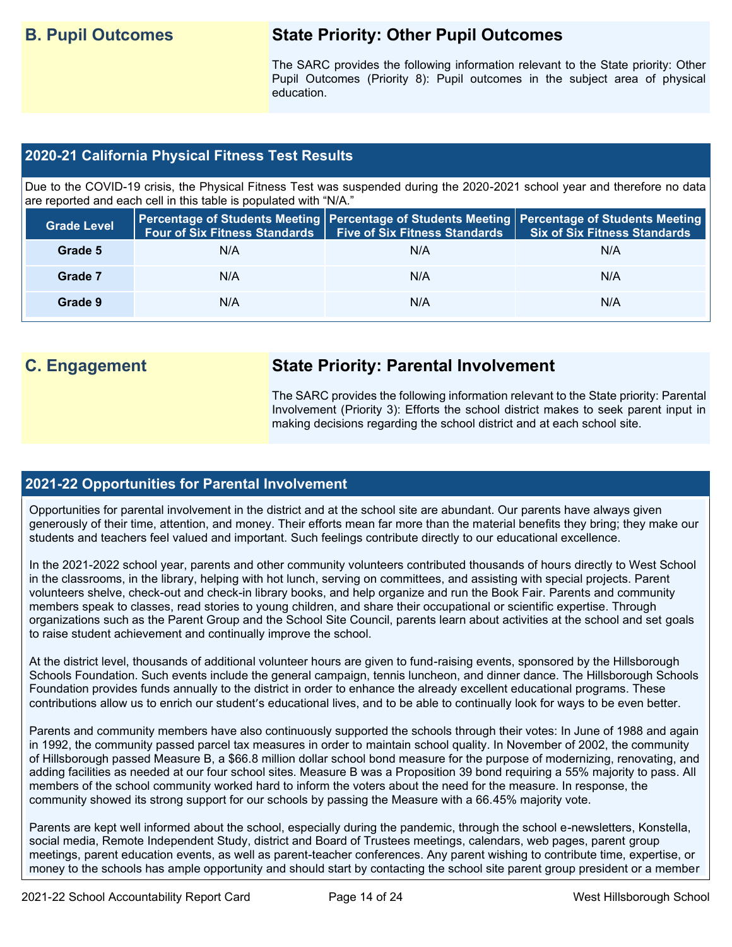## **B. Pupil Outcomes State Priority: Other Pupil Outcomes**

The SARC provides the following information relevant to the State priority: Other Pupil Outcomes (Priority 8): Pupil outcomes in the subject area of physical education.

#### **2020-21 California Physical Fitness Test Results**

Due to the COVID-19 crisis, the Physical Fitness Test was suspended during the 2020-2021 school year and therefore no data are reported and each cell in this table is populated with "N/A."

| <b>Grade Level</b> | <b>Four of Six Fitness Standards</b> | <b>Five of Six Fitness Standards</b> | Percentage of Students Meeting   Percentage of Students Meeting   Percentage of Students Meeting  <br><b>Six of Six Fitness Standards</b> |
|--------------------|--------------------------------------|--------------------------------------|-------------------------------------------------------------------------------------------------------------------------------------------|
| Grade 5            | N/A                                  | N/A                                  | N/A                                                                                                                                       |
| Grade 7            | N/A                                  | N/A                                  | N/A                                                                                                                                       |
| Grade 9            | N/A                                  | N/A                                  | N/A                                                                                                                                       |

## **C. Engagement State Priority: Parental Involvement**

The SARC provides the following information relevant to the State priority: Parental Involvement (Priority 3): Efforts the school district makes to seek parent input in making decisions regarding the school district and at each school site.

#### **2021-22 Opportunities for Parental Involvement**

Opportunities for parental involvement in the district and at the school site are abundant. Our parents have always given generously of their time, attention, and money. Their efforts mean far more than the material benefits they bring; they make our students and teachers feel valued and important. Such feelings contribute directly to our educational excellence.

In the 2021-2022 school year, parents and other community volunteers contributed thousands of hours directly to West School in the classrooms, in the library, helping with hot lunch, serving on committees, and assisting with special projects. Parent volunteers shelve, check-out and check-in library books, and help organize and run the Book Fair. Parents and community members speak to classes, read stories to young children, and share their occupational or scientific expertise. Through organizations such as the Parent Group and the School Site Council, parents learn about activities at the school and set goals to raise student achievement and continually improve the school.

At the district level, thousands of additional volunteer hours are given to fund-raising events, sponsored by the Hillsborough Schools Foundation. Such events include the general campaign, tennis luncheon, and dinner dance. The Hillsborough Schools Foundation provides funds annually to the district in order to enhance the already excellent educational programs. These contributions allow us to enrich our student's educational lives, and to be able to continually look for ways to be even better.

Parents and community members have also continuously supported the schools through their votes: In June of 1988 and again in 1992, the community passed parcel tax measures in order to maintain school quality. In November of 2002, the community of Hillsborough passed Measure B, a \$66.8 million dollar school bond measure for the purpose of modernizing, renovating, and adding facilities as needed at our four school sites. Measure B was a Proposition 39 bond requiring a 55% majority to pass. All members of the school community worked hard to inform the voters about the need for the measure. In response, the community showed its strong support for our schools by passing the Measure with a 66.45% majority vote.

Parents are kept well informed about the school, especially during the pandemic, through the school e-newsletters, Konstella, social media, Remote Independent Study, district and Board of Trustees meetings, calendars, web pages, parent group meetings, parent education events, as well as parent-teacher conferences. Any parent wishing to contribute time, expertise, or money to the schools has ample opportunity and should start by contacting the school site parent group president or a member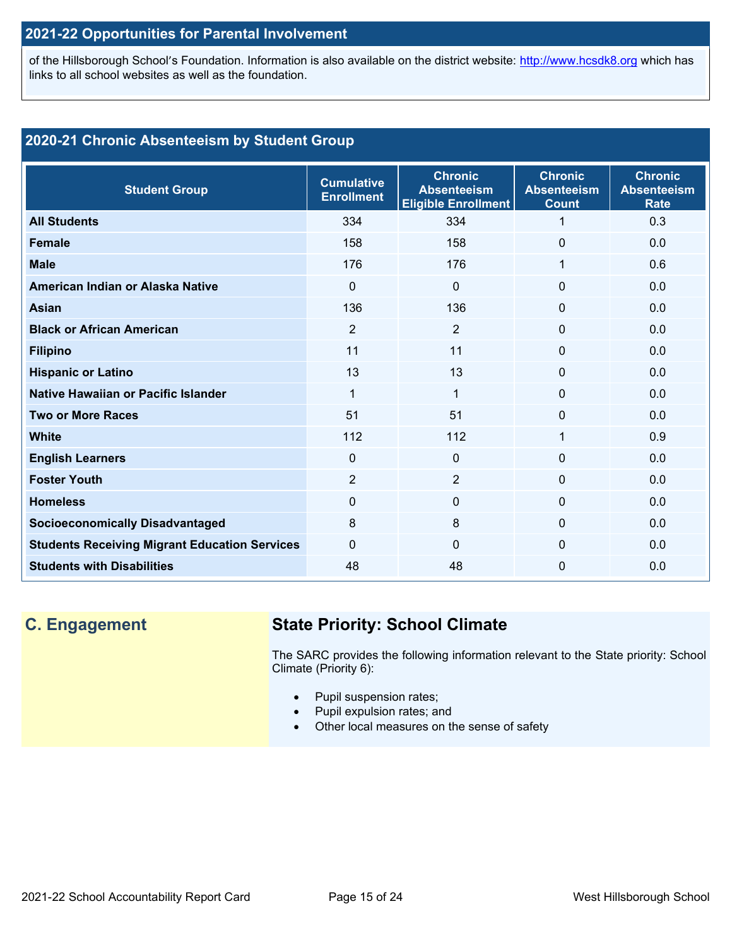### **2021-22 Opportunities for Parental Involvement**

of the Hillsborough School's Foundation. Information is also available on the district website: [http://www.hcsdk8.org](http://www.hcsdk8.org/) which has links to all school websites as well as the foundation.

### **2020-21 Chronic Absenteeism by Student Group**

| <b>Student Group</b>                                 | <b>Cumulative</b><br><b>Enrollment</b> | <b>Chronic</b><br><b>Absenteeism</b><br><b>Eligible Enrollment</b> | <b>Chronic</b><br><b>Absenteeism</b><br><b>Count</b> | <b>Chronic</b><br><b>Absenteeism</b><br><b>Rate</b> |
|------------------------------------------------------|----------------------------------------|--------------------------------------------------------------------|------------------------------------------------------|-----------------------------------------------------|
| <b>All Students</b>                                  | 334                                    | 334                                                                | 1                                                    | 0.3                                                 |
| <b>Female</b>                                        | 158                                    | 158                                                                | $\Omega$                                             | 0.0                                                 |
| <b>Male</b>                                          | 176                                    | 176                                                                | 1                                                    | 0.6                                                 |
| American Indian or Alaska Native                     | $\Omega$                               | $\Omega$                                                           | $\mathbf{0}$                                         | 0.0                                                 |
| Asian                                                | 136                                    | 136                                                                | $\mathbf{0}$                                         | 0.0                                                 |
| <b>Black or African American</b>                     | $\overline{2}$                         | $\overline{2}$                                                     | $\mathbf{0}$                                         | 0.0                                                 |
| <b>Filipino</b>                                      | 11                                     | 11                                                                 | $\mathbf 0$                                          | 0.0                                                 |
| <b>Hispanic or Latino</b>                            | 13                                     | 13                                                                 | $\mathbf 0$                                          | 0.0                                                 |
| Native Hawaiian or Pacific Islander                  | 1                                      | 1                                                                  | $\mathbf 0$                                          | 0.0                                                 |
| <b>Two or More Races</b>                             | 51                                     | 51                                                                 | $\mathbf 0$                                          | 0.0                                                 |
| <b>White</b>                                         | 112                                    | 112                                                                | 1                                                    | 0.9                                                 |
| <b>English Learners</b>                              | $\Omega$                               | $\mathbf{0}$                                                       | $\Omega$                                             | 0.0                                                 |
| <b>Foster Youth</b>                                  | $\overline{2}$                         | 2                                                                  | $\Omega$                                             | 0.0                                                 |
| <b>Homeless</b>                                      | 0                                      | $\Omega$                                                           | $\mathbf{0}$                                         | 0.0                                                 |
| <b>Socioeconomically Disadvantaged</b>               | 8                                      | 8                                                                  | $\mathbf{0}$                                         | 0.0                                                 |
| <b>Students Receiving Migrant Education Services</b> | $\Omega$                               | $\Omega$                                                           | $\mathbf{0}$                                         | 0.0                                                 |
| <b>Students with Disabilities</b>                    | 48                                     | 48                                                                 | $\mathbf{0}$                                         | 0.0                                                 |

## **C. Engagement State Priority: School Climate**

The SARC provides the following information relevant to the State priority: School Climate (Priority 6):

- Pupil suspension rates;
- Pupil expulsion rates; and
- Other local measures on the sense of safety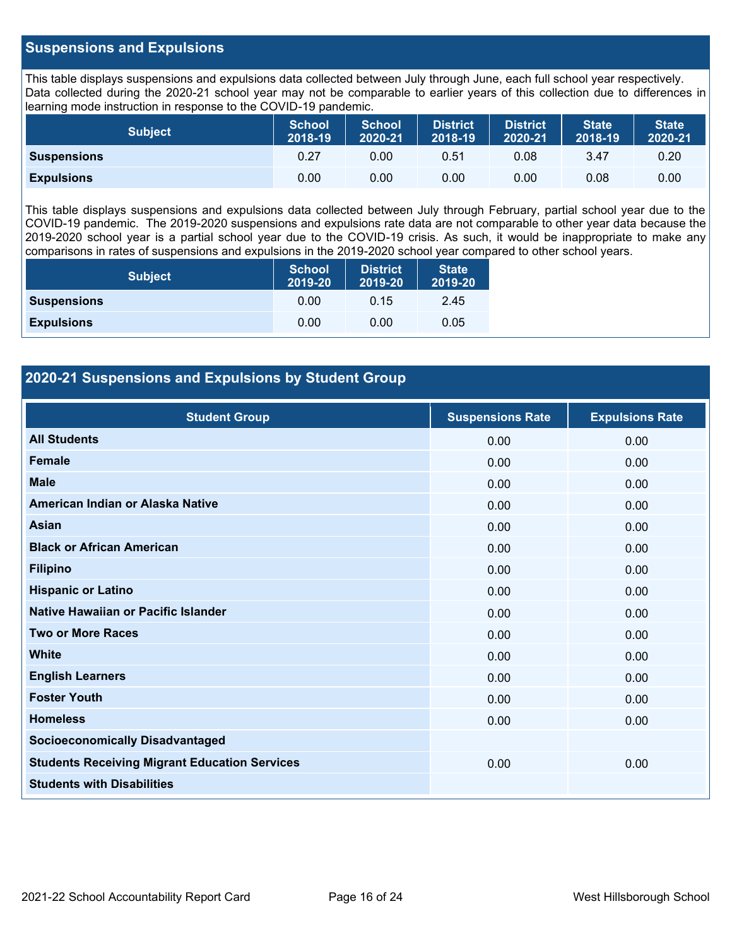#### **Suspensions and Expulsions**

This table displays suspensions and expulsions data collected between July through June, each full school year respectively. Data collected during the 2020-21 school year may not be comparable to earlier years of this collection due to differences in learning mode instruction in response to the COVID-19 pandemic.

| <b>Subject</b>     | <b>School</b><br>2018-19 | <b>School</b><br>2020-21 | <b>District</b><br>2018-19 | <b>District</b><br>2020-21 | <b>State</b><br>2018-19 | <b>State</b><br>2020-21 |
|--------------------|--------------------------|--------------------------|----------------------------|----------------------------|-------------------------|-------------------------|
| <b>Suspensions</b> | 0.27                     | 0.00                     | 0.51                       | 0.08                       | 3.47                    | 0.20                    |
| <b>Expulsions</b>  | 0.00                     | 0.00                     | 0.00                       | 0.00                       | 0.08                    | 0.00                    |

This table displays suspensions and expulsions data collected between July through February, partial school year due to the COVID-19 pandemic. The 2019-2020 suspensions and expulsions rate data are not comparable to other year data because the 2019-2020 school year is a partial school year due to the COVID-19 crisis. As such, it would be inappropriate to make any comparisons in rates of suspensions and expulsions in the 2019-2020 school year compared to other school years.

| <b>Subject</b>     | School<br>2019-20 | <b>District</b><br>2019-20 | <b>State</b><br>2019-20 |  |
|--------------------|-------------------|----------------------------|-------------------------|--|
| <b>Suspensions</b> | 0.00              | 0.15                       | 2.45                    |  |
| <b>Expulsions</b>  | 0.00              | 0.00                       | 0.05                    |  |

#### **2020-21 Suspensions and Expulsions by Student Group**

| <b>Student Group</b>                                 | <b>Suspensions Rate</b> | <b>Expulsions Rate</b> |
|------------------------------------------------------|-------------------------|------------------------|
| <b>All Students</b>                                  | 0.00                    | 0.00                   |
| <b>Female</b>                                        | 0.00                    | 0.00                   |
| <b>Male</b>                                          | 0.00                    | 0.00                   |
| American Indian or Alaska Native                     | 0.00                    | 0.00                   |
| <b>Asian</b>                                         | 0.00                    | 0.00                   |
| <b>Black or African American</b>                     | 0.00                    | 0.00                   |
| <b>Filipino</b>                                      | 0.00                    | 0.00                   |
| <b>Hispanic or Latino</b>                            | 0.00                    | 0.00                   |
| Native Hawaiian or Pacific Islander                  | 0.00                    | 0.00                   |
| <b>Two or More Races</b>                             | 0.00                    | 0.00                   |
| <b>White</b>                                         | 0.00                    | 0.00                   |
| <b>English Learners</b>                              | 0.00                    | 0.00                   |
| <b>Foster Youth</b>                                  | 0.00                    | 0.00                   |
| <b>Homeless</b>                                      | 0.00                    | 0.00                   |
| <b>Socioeconomically Disadvantaged</b>               |                         |                        |
| <b>Students Receiving Migrant Education Services</b> | 0.00                    | 0.00                   |
| <b>Students with Disabilities</b>                    |                         |                        |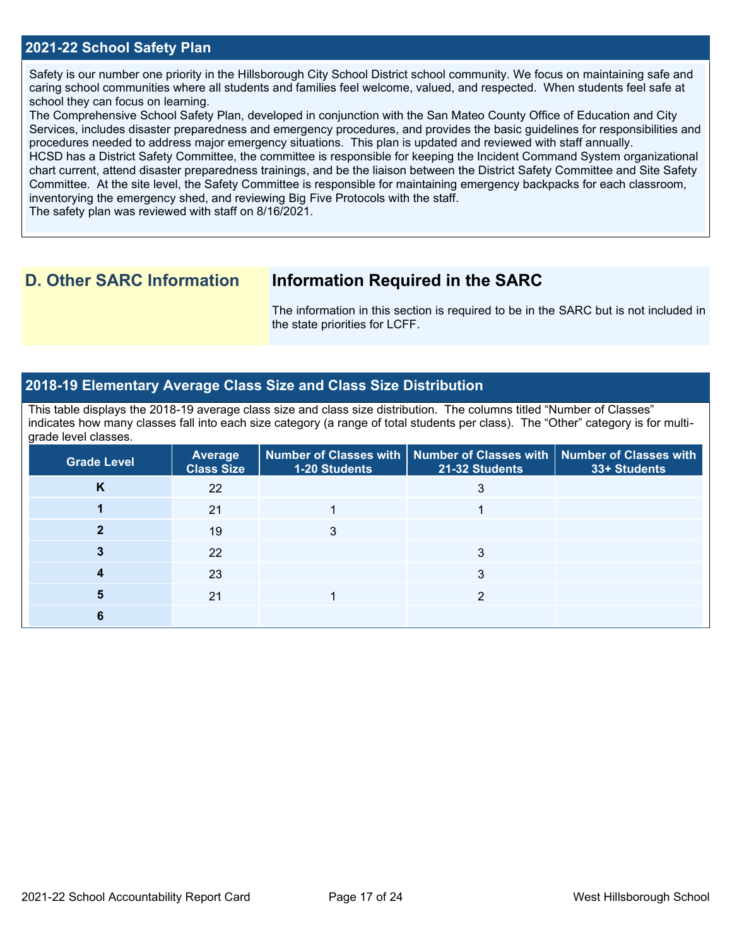#### **2021-22 School Safety Plan**

Safety is our number one priority in the Hillsborough City School District school community. We focus on maintaining safe and caring school communities where all students and families feel welcome, valued, and respected. When students feel safe at school they can focus on learning.

The Comprehensive School Safety Plan, developed in conjunction with the San Mateo County Office of Education and City Services, includes disaster preparedness and emergency procedures, and provides the basic guidelines for responsibilities and procedures needed to address major emergency situations. This plan is updated and reviewed with staff annually.

HCSD has a District Safety Committee, the committee is responsible for keeping the Incident Command System organizational chart current, attend disaster preparedness trainings, and be the liaison between the District Safety Committee and Site Safety Committee. At the site level, the Safety Committee is responsible for maintaining emergency backpacks for each classroom, inventorying the emergency shed, and reviewing Big Five Protocols with the staff.

The safety plan was reviewed with staff on 8/16/2021.

### **D. Other SARC Information Information Required in the SARC**

The information in this section is required to be in the SARC but is not included in the state priorities for LCFF.

#### **2018-19 Elementary Average Class Size and Class Size Distribution**

This table displays the 2018-19 average class size and class size distribution. The columns titled "Number of Classes" indicates how many classes fall into each size category (a range of total students per class). The "Other" category is for multigrade level classes.

| <b>Grade Level</b> | <b>Average</b><br><b>Class Size</b> | 1-20 Students | Number of Classes with $\mid$ Number of Classes with $\mid$ Number of Classes with<br>21-32 Students | 33+ Students |
|--------------------|-------------------------------------|---------------|------------------------------------------------------------------------------------------------------|--------------|
| N                  | 22                                  |               |                                                                                                      |              |
|                    | 21                                  |               |                                                                                                      |              |
|                    | 19                                  |               |                                                                                                      |              |
|                    | 22                                  |               | 3                                                                                                    |              |
|                    | 23                                  |               |                                                                                                      |              |
|                    | 21                                  |               | ◠                                                                                                    |              |
|                    |                                     |               |                                                                                                      |              |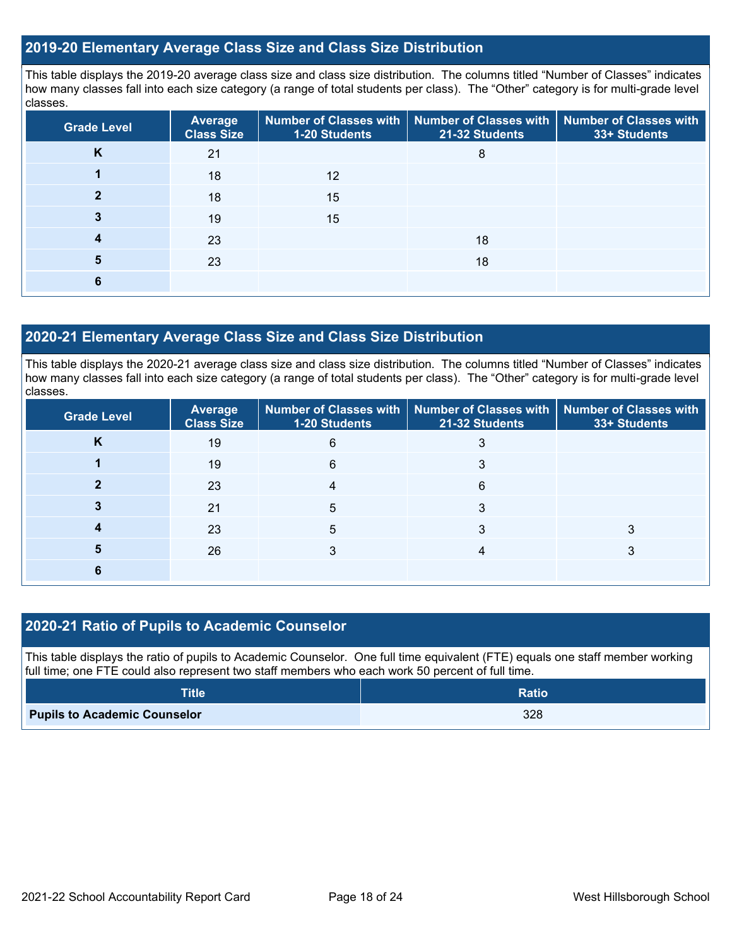#### **2019-20 Elementary Average Class Size and Class Size Distribution**

This table displays the 2019-20 average class size and class size distribution. The columns titled "Number of Classes" indicates how many classes fall into each size category (a range of total students per class). The "Other" category is for multi-grade level classes.

| <b>Grade Level</b> | <b>Average</b><br><b>Class Size</b> | <b>1-20 Students</b> | Number of Classes with   Number of Classes with   Number of Classes with<br>21-32 Students | 33+ Students |
|--------------------|-------------------------------------|----------------------|--------------------------------------------------------------------------------------------|--------------|
| K                  | 21                                  |                      | 8                                                                                          |              |
|                    | 18                                  | 12                   |                                                                                            |              |
|                    | 18                                  | 15                   |                                                                                            |              |
|                    | 19                                  | 15                   |                                                                                            |              |
|                    | 23                                  |                      | 18                                                                                         |              |
| 5                  | 23                                  |                      | 18                                                                                         |              |
| 6                  |                                     |                      |                                                                                            |              |

#### **2020-21 Elementary Average Class Size and Class Size Distribution**

This table displays the 2020-21 average class size and class size distribution. The columns titled "Number of Classes" indicates how many classes fall into each size category (a range of total students per class). The "Other" category is for multi-grade level classes.

| <b>Grade Level</b> | <b>Average</b><br><b>Class Size</b> | <b>1-20 Students</b> | Number of Classes with   Number of Classes with   Number of Classes with<br>21-32 Students | 33+ Students |
|--------------------|-------------------------------------|----------------------|--------------------------------------------------------------------------------------------|--------------|
| N                  | 19                                  | 6                    |                                                                                            |              |
|                    | 19                                  | 6                    |                                                                                            |              |
|                    | 23                                  |                      | 6                                                                                          |              |
|                    | 21                                  | 5                    |                                                                                            |              |
|                    | 23                                  | 5                    |                                                                                            |              |
|                    | 26                                  |                      |                                                                                            |              |
|                    |                                     |                      |                                                                                            |              |

#### **2020-21 Ratio of Pupils to Academic Counselor**

This table displays the ratio of pupils to Academic Counselor. One full time equivalent (FTE) equals one staff member working full time; one FTE could also represent two staff members who each work 50 percent of full time.

| <b>Title</b>                        | <b>Ratio</b> |
|-------------------------------------|--------------|
| <b>Pupils to Academic Counselor</b> | 328          |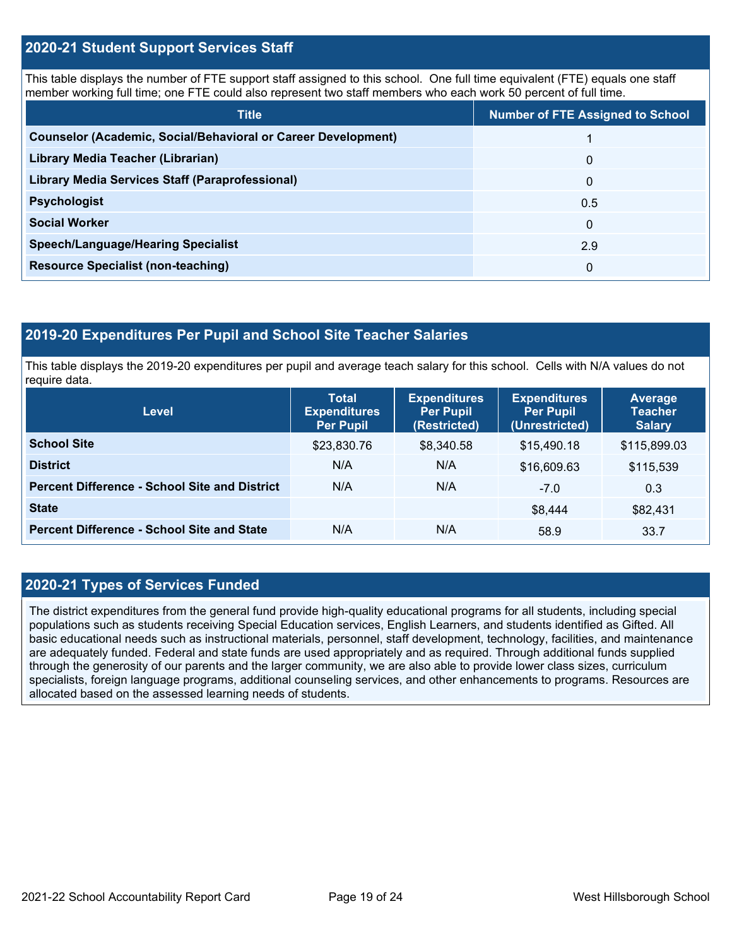#### **2020-21 Student Support Services Staff**

This table displays the number of FTE support staff assigned to this school. One full time equivalent (FTE) equals one staff member working full time; one FTE could also represent two staff members who each work 50 percent of full time.

| <b>Title</b>                                                         | <b>Number of FTE Assigned to School</b> |
|----------------------------------------------------------------------|-----------------------------------------|
| <b>Counselor (Academic, Social/Behavioral or Career Development)</b> |                                         |
| Library Media Teacher (Librarian)                                    | 0                                       |
| Library Media Services Staff (Paraprofessional)                      | 0                                       |
| <b>Psychologist</b>                                                  | 0.5                                     |
| <b>Social Worker</b>                                                 | $\Omega$                                |
| <b>Speech/Language/Hearing Specialist</b>                            | 2.9                                     |
| <b>Resource Specialist (non-teaching)</b>                            | 0                                       |

#### **2019-20 Expenditures Per Pupil and School Site Teacher Salaries**

This table displays the 2019-20 expenditures per pupil and average teach salary for this school. Cells with N/A values do not require data.

| <b>Level</b>                                         | <b>Total</b><br><b>Expenditures</b><br><b>Per Pupil</b> | <b>Expenditures</b><br><b>Per Pupil</b><br>(Restricted) | <b>Expenditures</b><br><b>Per Pupil</b><br>(Unrestricted) | Average<br><b>Teacher</b><br><b>Salary</b> |
|------------------------------------------------------|---------------------------------------------------------|---------------------------------------------------------|-----------------------------------------------------------|--------------------------------------------|
| <b>School Site</b>                                   | \$23,830.76                                             | \$8,340.58                                              | \$15,490.18                                               | \$115,899.03                               |
| <b>District</b>                                      | N/A                                                     | N/A                                                     | \$16,609.63                                               | \$115,539                                  |
| <b>Percent Difference - School Site and District</b> | N/A                                                     | N/A                                                     | $-7.0$                                                    | 0.3                                        |
| <b>State</b>                                         |                                                         |                                                         | \$8,444                                                   | \$82,431                                   |
| <b>Percent Difference - School Site and State</b>    | N/A                                                     | N/A                                                     | 58.9                                                      | 33.7                                       |

#### **2020-21 Types of Services Funded**

The district expenditures from the general fund provide high-quality educational programs for all students, including special populations such as students receiving Special Education services, English Learners, and students identified as Gifted. All basic educational needs such as instructional materials, personnel, staff development, technology, facilities, and maintenance are adequately funded. Federal and state funds are used appropriately and as required. Through additional funds supplied through the generosity of our parents and the larger community, we are also able to provide lower class sizes, curriculum specialists, foreign language programs, additional counseling services, and other enhancements to programs. Resources are allocated based on the assessed learning needs of students.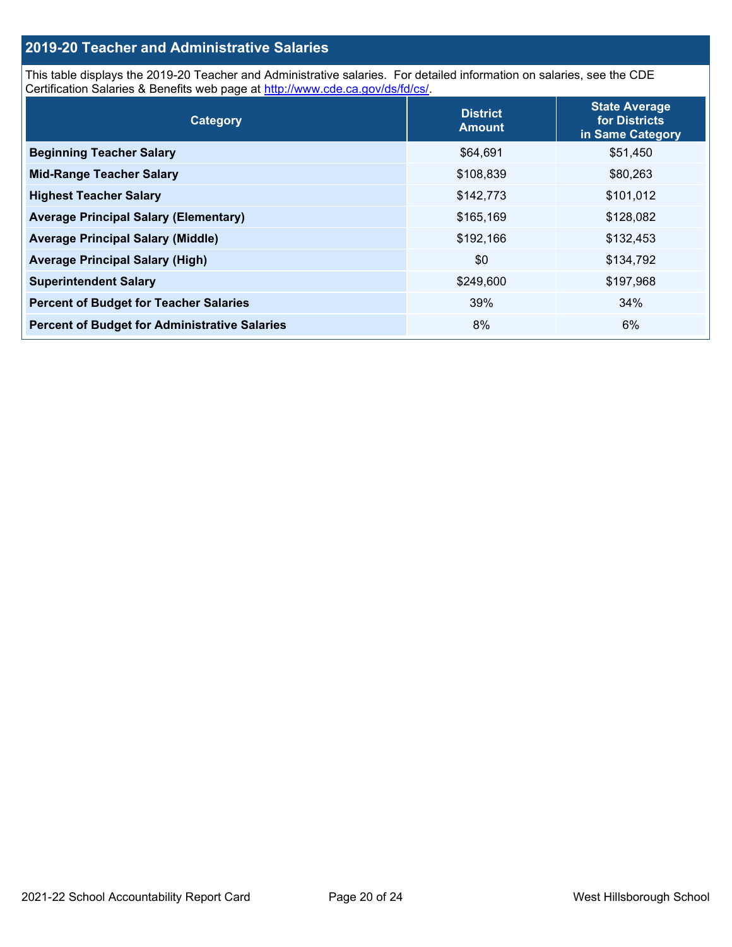#### **2019-20 Teacher and Administrative Salaries**

This table displays the 2019-20 Teacher and Administrative salaries. For detailed information on salaries, see the CDE Certification Salaries & Benefits web page at [http://www.cde.ca.gov/ds/fd/cs/.](http://www.cde.ca.gov/ds/fd/cs/)

| Category                                             | <b>District</b><br><b>Amount</b> | <b>State Average</b><br>for Districts<br>in Same Category |
|------------------------------------------------------|----------------------------------|-----------------------------------------------------------|
| <b>Beginning Teacher Salary</b>                      | \$64,691                         | \$51,450                                                  |
| <b>Mid-Range Teacher Salary</b>                      | \$108,839                        | \$80,263                                                  |
| <b>Highest Teacher Salary</b>                        | \$142,773                        | \$101,012                                                 |
| <b>Average Principal Salary (Elementary)</b>         | \$165,169                        | \$128,082                                                 |
| <b>Average Principal Salary (Middle)</b>             | \$192,166                        | \$132,453                                                 |
| <b>Average Principal Salary (High)</b>               | \$0                              | \$134,792                                                 |
| <b>Superintendent Salary</b>                         | \$249,600                        | \$197,968                                                 |
| <b>Percent of Budget for Teacher Salaries</b>        | 39%                              | 34%                                                       |
| <b>Percent of Budget for Administrative Salaries</b> | 8%                               | 6%                                                        |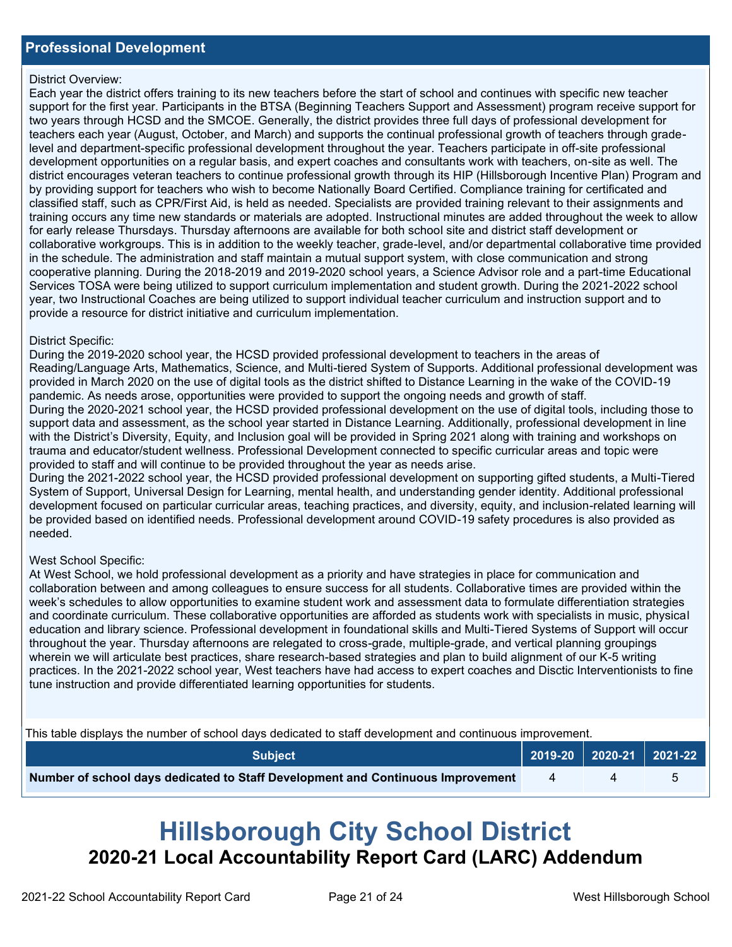#### District Overview:

Each year the district offers training to its new teachers before the start of school and continues with specific new teacher support for the first year. Participants in the BTSA (Beginning Teachers Support and Assessment) program receive support for two years through HCSD and the SMCOE. Generally, the district provides three full days of professional development for teachers each year (August, October, and March) and supports the continual professional growth of teachers through gradelevel and department-specific professional development throughout the year. Teachers participate in off-site professional development opportunities on a regular basis, and expert coaches and consultants work with teachers, on-site as well. The district encourages veteran teachers to continue professional growth through its HIP (Hillsborough Incentive Plan) Program and by providing support for teachers who wish to become Nationally Board Certified. Compliance training for certificated and classified staff, such as CPR/First Aid, is held as needed. Specialists are provided training relevant to their assignments and training occurs any time new standards or materials are adopted. Instructional minutes are added throughout the week to allow for early release Thursdays. Thursday afternoons are available for both school site and district staff development or collaborative workgroups. This is in addition to the weekly teacher, grade-level, and/or departmental collaborative time provided in the schedule. The administration and staff maintain a mutual support system, with close communication and strong cooperative planning. During the 2018-2019 and 2019-2020 school years, a Science Advisor role and a part-time Educational Services TOSA were being utilized to support curriculum implementation and student growth. During the 2021-2022 school year, two Instructional Coaches are being utilized to support individual teacher curriculum and instruction support and to provide a resource for district initiative and curriculum implementation.

#### District Specific:

During the 2019-2020 school year, the HCSD provided professional development to teachers in the areas of Reading/Language Arts, Mathematics, Science, and Multi-tiered System of Supports. Additional professional development was provided in March 2020 on the use of digital tools as the district shifted to Distance Learning in the wake of the COVID-19 pandemic. As needs arose, opportunities were provided to support the ongoing needs and growth of staff. During the 2020-2021 school year, the HCSD provided professional development on the use of digital tools, including those to support data and assessment, as the school year started in Distance Learning. Additionally, professional development in line with the District's Diversity, Equity, and Inclusion goal will be provided in Spring 2021 along with training and workshops on trauma and educator/student wellness. Professional Development connected to specific curricular areas and topic were provided to staff and will continue to be provided throughout the year as needs arise.

During the 2021-2022 school year, the HCSD provided professional development on supporting gifted students, a Multi-Tiered System of Support, Universal Design for Learning, mental health, and understanding gender identity. Additional professional development focused on particular curricular areas, teaching practices, and diversity, equity, and inclusion-related learning will be provided based on identified needs. Professional development around COVID-19 safety procedures is also provided as needed.

#### West School Specific:

At West School, we hold professional development as a priority and have strategies in place for communication and collaboration between and among colleagues to ensure success for all students. Collaborative times are provided within the week's schedules to allow opportunities to examine student work and assessment data to formulate differentiation strategies and coordinate curriculum. These collaborative opportunities are afforded as students work with specialists in music, physical education and library science. Professional development in foundational skills and Multi-Tiered Systems of Support will occur throughout the year. Thursday afternoons are relegated to cross-grade, multiple-grade, and vertical planning groupings wherein we will articulate best practices, share research-based strategies and plan to build alignment of our K-5 writing practices. In the 2021-2022 school year, West teachers have had access to expert coaches and Disctic Interventionists to fine tune instruction and provide differentiated learning opportunities for students.

This table displays the number of school days dedicated to staff development and continuous improvement.

| <b>Subject</b>                                                                  | 2019-20 2020-21 2021-22 |  |
|---------------------------------------------------------------------------------|-------------------------|--|
| Number of school days dedicated to Staff Development and Continuous Improvement |                         |  |

# **Hillsborough City School District 2020-21 Local Accountability Report Card (LARC) Addendum**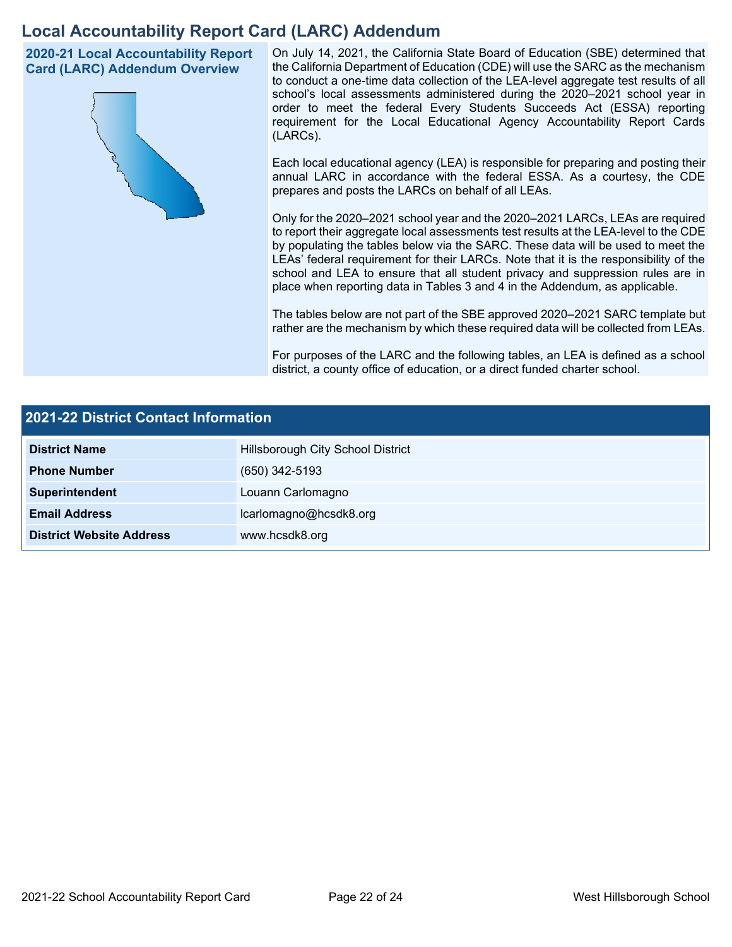## **Local Accountability Report Card (LARC) Addendum**

**2020-21 Local Accountability Report Card (LARC) Addendum Overview**



On July 14, 2021, the California State Board of Education (SBE) determined that the California Department of Education (CDE) will use the SARC as the mechanism to conduct a one-time data collection of the LEA-level aggregate test results of all school's local assessments administered during the 2020–2021 school year in order to meet the federal Every Students Succeeds Act (ESSA) reporting requirement for the Local Educational Agency Accountability Report Cards (LARCs).

Each local educational agency (LEA) is responsible for preparing and posting their annual LARC in accordance with the federal ESSA. As a courtesy, the CDE prepares and posts the LARCs on behalf of all LEAs.

Only for the 2020–2021 school year and the 2020–2021 LARCs, LEAs are required to report their aggregate local assessments test results at the LEA-level to the CDE by populating the tables below via the SARC. These data will be used to meet the LEAs' federal requirement for their LARCs. Note that it is the responsibility of the school and LEA to ensure that all student privacy and suppression rules are in place when reporting data in Tables 3 and 4 in the Addendum, as applicable.

The tables below are not part of the SBE approved 2020–2021 SARC template but rather are the mechanism by which these required data will be collected from LEAs.

For purposes of the LARC and the following tables, an LEA is defined as a school district, a county office of education, or a direct funded charter school.

| 2021-22 District Contact Information |                                   |  |  |
|--------------------------------------|-----------------------------------|--|--|
| <b>District Name</b>                 | Hillsborough City School District |  |  |
| <b>Phone Number</b>                  | (650) 342-5193                    |  |  |
| Superintendent                       | Louann Carlomagno                 |  |  |
| <b>Email Address</b>                 | lcarlomagno@hcsdk8.org            |  |  |
| <b>District Website Address</b>      | www.hcsdk8.org                    |  |  |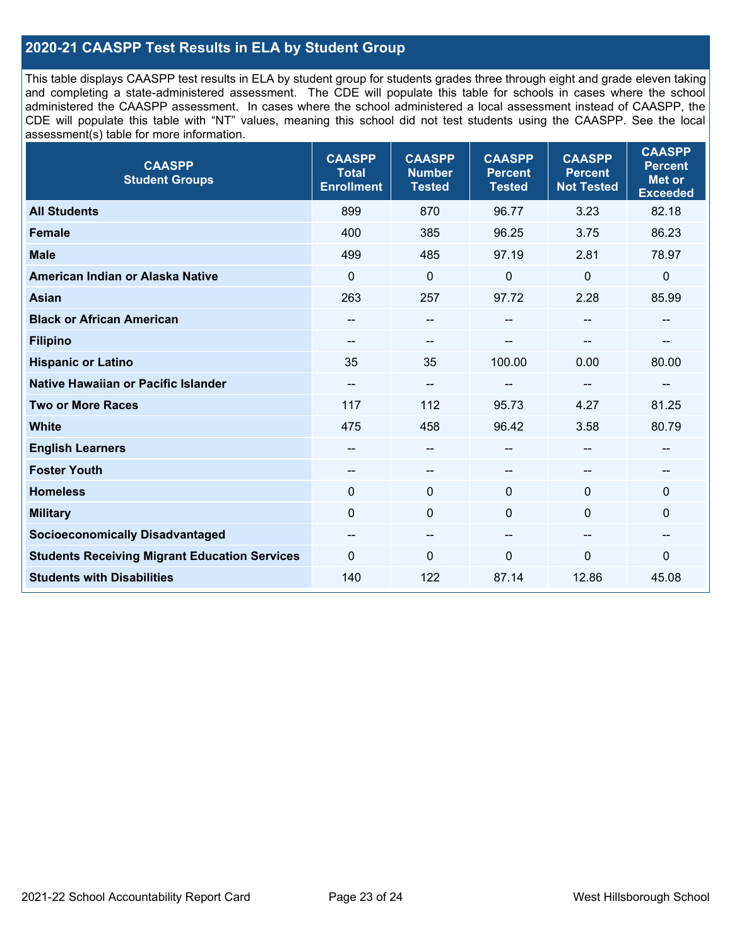### **2020-21 CAASPP Test Results in ELA by Student Group**

This table displays CAASPP test results in ELA by student group for students grades three through eight and grade eleven taking and completing a state-administered assessment. The CDE will populate this table for schools in cases where the school administered the CAASPP assessment. In cases where the school administered a local assessment instead of CAASPP, the CDE will populate this table with "NT" values, meaning this school did not test students using the CAASPP. See the local assessment(s) table for more information.

| <b>CAASPP</b><br><b>Student Groups</b>               | <b>CAASPP</b><br><b>Total</b><br><b>Enrollment</b> | <b>CAASPP</b><br><b>Number</b><br><b>Tested</b> | <b>CAASPP</b><br><b>Percent</b><br><b>Tested</b> | <b>CAASPP</b><br><b>Percent</b><br><b>Not Tested</b> | <b>CAASPP</b><br><b>Percent</b><br><b>Met or</b><br><b>Exceeded</b> |
|------------------------------------------------------|----------------------------------------------------|-------------------------------------------------|--------------------------------------------------|------------------------------------------------------|---------------------------------------------------------------------|
| <b>All Students</b>                                  | 899                                                | 870                                             | 96.77                                            | 3.23                                                 | 82.18                                                               |
| <b>Female</b>                                        | 400                                                | 385                                             | 96.25                                            | 3.75                                                 | 86.23                                                               |
| <b>Male</b>                                          | 499                                                | 485                                             | 97.19                                            | 2.81                                                 | 78.97                                                               |
| American Indian or Alaska Native                     | $\mathbf 0$                                        | $\pmb{0}$                                       | $\pmb{0}$                                        | 0                                                    | $\pmb{0}$                                                           |
| <b>Asian</b>                                         | 263                                                | 257                                             | 97.72                                            | 2.28                                                 | 85.99                                                               |
| <b>Black or African American</b>                     |                                                    | --                                              | --                                               | --                                                   | $\overline{\phantom{a}}$                                            |
| <b>Filipino</b>                                      |                                                    | --                                              |                                                  |                                                      |                                                                     |
| <b>Hispanic or Latino</b>                            | 35                                                 | 35                                              | 100.00                                           | 0.00                                                 | 80.00                                                               |
| Native Hawaiian or Pacific Islander                  | --                                                 | --                                              | --                                               | --                                                   | $\overline{\phantom{a}}$                                            |
| <b>Two or More Races</b>                             | 117                                                | 112                                             | 95.73                                            | 4.27                                                 | 81.25                                                               |
| <b>White</b>                                         | 475                                                | 458                                             | 96.42                                            | 3.58                                                 | 80.79                                                               |
| <b>English Learners</b>                              | --                                                 | --                                              | --                                               | --                                                   | --                                                                  |
| <b>Foster Youth</b>                                  | --                                                 | $\qquad \qquad -$                               | --                                               | --                                                   | --                                                                  |
| <b>Homeless</b>                                      | $\mathbf{0}$                                       | $\mathbf 0$                                     | $\mathbf 0$                                      | $\Omega$                                             | $\mathbf 0$                                                         |
| <b>Military</b>                                      | $\mathbf{0}$                                       | $\mathbf 0$                                     | $\mathbf 0$                                      | 0                                                    | $\mathbf 0$                                                         |
| <b>Socioeconomically Disadvantaged</b>               | $\overline{\phantom{m}}$                           | --                                              | --                                               | --                                                   | --                                                                  |
| <b>Students Receiving Migrant Education Services</b> | $\mathbf{0}$                                       | 0                                               | $\mathbf 0$                                      | $\mathbf{0}$                                         | 0                                                                   |
| <b>Students with Disabilities</b>                    | 140                                                | 122                                             | 87.14                                            | 12.86                                                | 45.08                                                               |